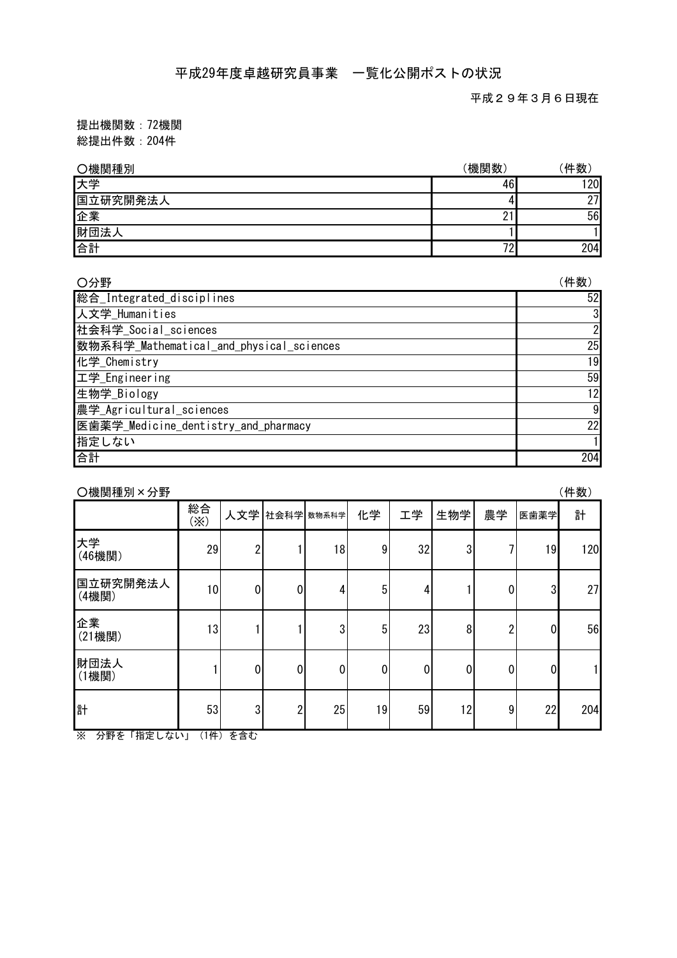平成29年3月6日現在

提出機関数:72機関 総提出件数:204件

| ○機関種別    | 機関数           | 件数  |
|----------|---------------|-----|
| 大学       | 46            | 20  |
| 国立研究開発法人 | 4             | 27  |
| 企業       | <u>.</u>      | 56  |
| 財団法人     |               |     |
| 合計       | $\mathcal{L}$ | 204 |

| ○分野                                      | (件数) |
|------------------------------------------|------|
| 総合_Integrated_disciplines                | 52   |
| 人文学_Humanities                           |      |
| 社会科学_Social_sciences                     |      |
| 数物系科学_Mathematical_and_physical_sciences | 25   |
| 化学_Chemistry                             | 19   |
| 工学_Engineering                           | 59   |
| 生物学_Biology                              | 12   |
| 農学_Agricultural_sciences                 | 9    |
| 医歯薬学_Medicine_dentistry_and_pharmacy     | 22   |
| 指定しない                                    |      |
| 合計                                       | 204  |

| O機関種別×分野                                              |                      |          |                |    |    |    |     |    |                | (件数) |
|-------------------------------------------------------|----------------------|----------|----------------|----|----|----|-----|----|----------------|------|
|                                                       | 総合<br>$(\mathbb{X})$ | 人文学      | 社会科学 数物系科学     |    | 化学 | 工学 | 生物学 | 農学 | 医歯薬学           | 計    |
| 大学<br>(46機関)                                          | 29                   | 2        |                | 18 | 9  | 32 | 3   |    | 19             | 120  |
| 国立研究開発法人<br>(4機関)                                     | 10                   | 0        | 0              | 4  | 5  | 4  |     | 0  | 3              | 27   |
| 企業<br>(21機関)                                          | 13                   |          |                | 3  | 5  | 23 | 8   | 2  | $\overline{0}$ | 56   |
| 財団法人<br>(1機関)                                         |                      | 0        | 0              | 0  | 0  | 0  | 0   | 0  | 0              |      |
| 計<br>$\overline{\mathbf{x}}$<br>八冊子<br>⊺+⊵⇔ ।<br>$+1$ | 53<br>(1H)           | 3<br>大会士 | $\overline{2}$ | 25 | 19 | 59 | 12  | 9  | 22             | 204  |

※ 分野を「指定しない」(1件)を含む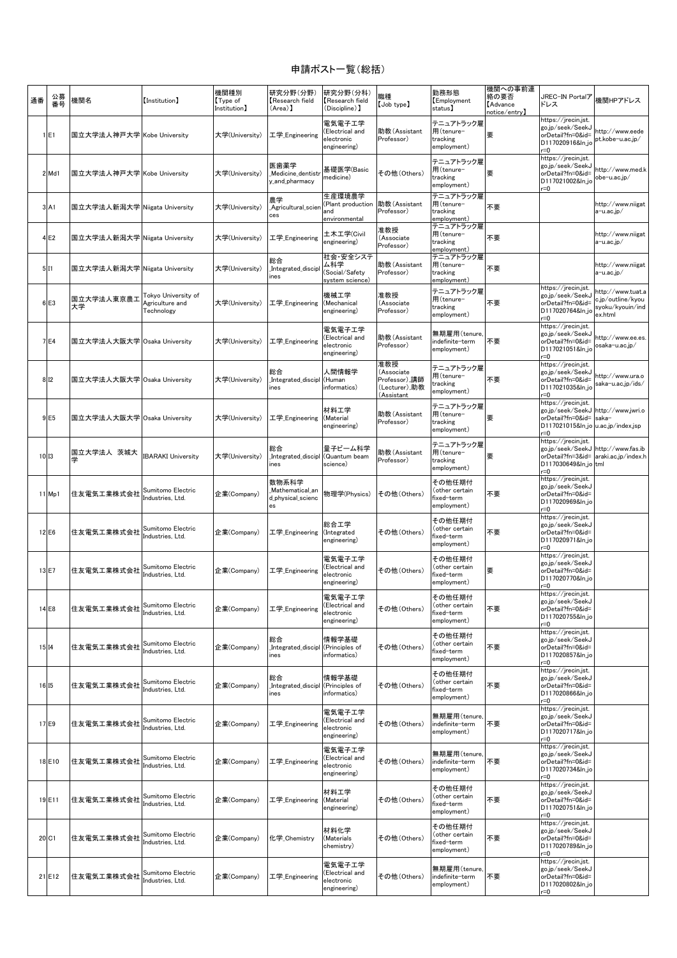## 申請ポスト一覧(総括)

| 通番 | 公募<br>番号         | 機関名                           | [Institution]                                        | 機関種別<br>【Type of<br>Institution】 | 研究分野(分野)<br>Research field<br>(Area) 】              | 研究分野(分科)<br>Research field<br>(Discipline) 】            | 職種<br>【Job type】                                                  | 勤務形態<br>Employment<br>status)                         | 機関への事前連<br>絡の要否<br><b>Advance</b><br>notice/entry】 | JREC-IN Portalア<br>ドレス                                                                                                            | 機関HPアドレス                                                              |
|----|------------------|-------------------------------|------------------------------------------------------|----------------------------------|-----------------------------------------------------|---------------------------------------------------------|-------------------------------------------------------------------|-------------------------------------------------------|----------------------------------------------------|-----------------------------------------------------------------------------------------------------------------------------------|-----------------------------------------------------------------------|
|    | 1 E1             | 国立大学法人神戸大学 Kobe University    |                                                      | 大学(University)                   | 工学 Engineering                                      | 電気電子工学<br>(Electrical and<br>electronic<br>engineering) | 助教(Assistant<br>Professor)                                        | テニュアトラック雇<br>用(tenure-<br>tracking<br>employment)     | 要                                                  | https://jrecin.jst.<br>go.jp/seek/SeekJ<br>orDetail?fn=0&id=<br>D117020916&ln_jc<br>$=0$                                          | http://www.eede<br>pt.kobe-u.ac.jp/                                   |
|    | 2 Md1            | 国立大学法人神戸大学 Kobe University    |                                                      | 大学(University)                   | 医歯薬学<br>Medicine_dentist<br>y and pharmacy          | 基礎医学(Basic<br>medicine)                                 | その他 (Others)                                                      | テニュアトラック雇<br>用(tenure-<br>tracking<br>employment)     | 要                                                  | https://jrecin.jst.<br>go.jp/seek/SeekJ<br>orDetail?fn=0&id=<br>D117021002&ln_jo<br>$r = 0$                                       | http://www.med.k<br>obe-u.ac.jp/                                      |
|    | 3 A1             | 国立大学法人新潟大学 Niigata University |                                                      | 大学(University)                   | 農学<br>Agricultural_scie<br>ces                      | 生産環境農学<br>Plant production<br>and<br>environmental      | 助教(Assistant<br>Professor)                                        | テニュアトラック雇<br>用(tenure-<br>tracking<br>employment)     | 不要                                                 |                                                                                                                                   | http://www.niigat<br>a-u.ac.jp/                                       |
|    | 4E2              | 国立大学法人新潟大学 Niigata University |                                                      | 大学(University)                   | 工学 Engineering                                      | 土木工学(Civil<br>engineering)                              | 准教授<br>(Associate<br>Professor)                                   | テニュアトラック雇<br>用(tenure-<br>tracking<br>employment)     | 不要                                                 |                                                                                                                                   | http://www.niigat<br>a-u.ac.jp/                                       |
|    | 5 11             | 国立大学法人新潟大学 Niigata University |                                                      | 大学(University)                   | 総合<br>Integrated_discip<br>nes                      | 社会・安全システ<br>ム科学<br>Social/Safety)<br>system science)    | 助教(Assistant<br>Professor)                                        | テニュアトラック雇<br>用(tenure-<br>tracking<br>employment)     | 不要                                                 |                                                                                                                                   | http://www.niigat<br>a-u.ac.jp/                                       |
|    | 6 E3             | 国立大学法人東京農工<br>大学              | Tokyo University of<br>Agriculture and<br>Technology | 大学(University)                   | 工学_Engineering                                      | 機械工学<br>(Mechanical<br>engineering)                     | 准教授<br>(Associate<br>Professor)                                   | テニュアトラック雇<br>用(tenure-<br>tracking<br>employment)     | 不要                                                 | https://jrecin.jst.<br>go.jp/seek/SeekJ<br>orDetail?fn=0&id=<br>D117020764&ln_jo<br>$r = 0$                                       | http://www.tuat.a<br>c.jp/outline/kyou<br>syoku/kyouin/ind<br>ex.html |
|    | 7 E4             | 国立大学法人大阪大学 Osaka University   |                                                      | 大学(University)                   | 工学_Engineering                                      | 電気電子工学<br>(Electrical and<br>electronic<br>engineering) | 助教(Assistant<br>Professor)                                        | 無期雇用(tenure,<br>ndefinite-term<br>employment)         | 不要                                                 | https://jrecin.jst.<br>go.jp/seek/SeekJ<br>orDetail?fn=0&id=<br>D117021051&In io<br>r=0                                           | http://www.ee.es<br>osaka-u.ac.jp/                                    |
|    | 8 1 2            | 国立大学法人大阪大学 Osaka University   |                                                      | 大学(University)                   | 総合<br>Integrated discipl<br>nes                     | 人間情報学<br>(Human<br>informatics)                         | 准教授<br>(Associate<br>Professor),講師<br>(Lecturer),助教<br>(Assistant | テニュアトラック雇<br>用(tenure-<br>tracking<br>employment)     | 不要                                                 | https://jrecin.jst.<br>go.jp/seek/SeekJ<br>orDetail?fn=0&id=<br>D117021035&ln io<br>$=0$                                          | http://www.ura.o<br>saka-u.ac.jp/ids/                                 |
|    | 9 E <sub>5</sub> | 国立大学法人大阪大学 Osaka University   |                                                      | 大学(University)                   | 工学_Engineering                                      | 材料工学<br>(Material<br>engineering)                       | 助教(Assistant<br>Professor)                                        | テニュアトラック雇<br>用(tenure-<br>tracking<br>employment)     | 要                                                  | https://jrecin.jst.<br>go.jp/seek/SeekJ http://www.jwri.o<br>orDetail?fn=0&id=<br>D117021015&ln_jo u.ac.jp/index.jsp<br>$=0$      | saka-                                                                 |
|    | 10 13            | 国立大学法人 茨城大<br>学               | <b>IBARAKI University</b>                            | 大学(University)                   | 総合<br>Integrated_discipl<br>nes                     | 量子ビーム科学<br>(Quantum beam<br>science)                    | 助教(Assistant<br>Professor)                                        | テニュアトラック雇<br>用(tenure-<br>tracking<br>employment)     | 要                                                  | https://jrecin.jst.<br>go.jp/seek/SeekJ http://www.fas.ib<br>orDetail?fn=3&id= araki.ac.jp/index.h<br>D117030649&ln_jo tml<br>r=0 |                                                                       |
|    | 11 Mp1           | 住友電気工業株式会社                    | Sumitomo Electric<br>Industries, Ltd.                | 企業(Company)                      | 数物系科学<br>Mathematical an<br>d_physical_scienc<br>es | 物理学(Physics)                                            | その他(Others)                                                       | その他任期付<br>(other certain<br>fixed–term<br>employment) | 不要                                                 | https://jrecin.jst.<br>go.jp/seek/SeekJ<br>orDetail?fn=0&id=<br>D117020969&ln_jo<br>$r = 0$                                       |                                                                       |
|    | 12 E6            | 住友電気工業株式会社                    | Sumitomo Electric<br>Industries, Ltd.                | 企業(Company)                      | 工学_Engineering                                      | 総合工学<br>(Integrated<br>engineering)                     | その他 (Others)                                                      | その他任期付<br>(other certain<br>fixed-term<br>employment) | 不要                                                 | https://jrecin.jst.<br>go.ip/seek/SeekJ<br>orDetail?fn=0&id=<br>D117020971&In_jo<br>r=0                                           |                                                                       |
|    | 13 E7            | 住友電気工業株式会社                    | Sumitomo Electric<br>Industries, Ltd.                | 企業(Company)                      | 工学 Engineering                                      | 電気電子工学<br>Electrical and<br>electronic<br>engineering)  | その他(Others)                                                       | その他任期付<br>(other certain<br>fixed-term<br>employment) | 要                                                  | https://jrecin.jst.<br>go.jp/seek/SeekJ<br>orDetail?fn=0&id=<br>D117020770&ln_jo<br>r=0                                           |                                                                       |
|    | 14 E8            | 住友電気工業株式会社                    | Sumitomo Electric<br>Industries, Ltd.                | 企業(Company)                      | 工学 <sub>_</sub> Engineering                         | 電気電子工学<br>(Electrical and<br>electronic<br>engineering) | その他 (Others)                                                      | その他任期付<br>(other certain<br>fixed–term<br>employment) | 不要                                                 | https://jrecin.jst.<br>go.jp/seek/SeekJ<br>orDetail?fn=0&id=<br>D117020755&ln_jo<br>r=0                                           |                                                                       |
|    | 15 14            | 住友電気工業株式会社                    | Sumitomo Electric<br>Industries, Ltd.                | 企業(Company)                      | 総合<br>Integrated_discipl<br>nes                     | 情報学基礎<br>(Principles of<br>informatics)                 | その他 (Others)                                                      | その他任期付<br>other certain)<br>fixed-term<br>employment) | 不要                                                 | https://jrecin.jst.<br>go.ip/seek/SeekJ<br>orDetail?fn=0&id=<br>D117020857&ln_jo<br>r=0                                           |                                                                       |
|    | 16 15            | 住友電気工業株式会社                    | Sumitomo Electric<br>Industries, Ltd.                | 企業(Company)                      | 総合<br>Integrated_discipl (Principles of<br>nes      | 情報学基礎<br>informatics)                                   | その他(Others)                                                       | その他任期付<br>other certain)<br>fixed–term<br>employment) | 不要                                                 | https://jrecin.jst.<br>go.jp/seek/SeekJ<br>orDetail?fn=0&id=<br>D117020866&ln_jo<br>r=0                                           |                                                                       |
|    | 17 E9            | 住友電気工業株式会社                    | Sumitomo Electric<br>Industries, Ltd.                | 企業(Company)                      | 工学_Engineering                                      | 電気電子工学<br>(Electrical and<br>electronic<br>engineering) | その他 (Others)                                                      | 無期雇用(tenure<br>ndefinite-term<br>emplovment)          | 不要                                                 | https://jrecin.jst.<br>go.jp/seek/SeekJ<br>orDetail?fn=0&id=<br>D117020717&ln_jo<br>r=0                                           |                                                                       |
|    | 18 E10           | 住友電気工業株式会社                    | Sumitomo Electric<br>Industries. Ltd.                | 企業(Company)                      | 工学 Engineering                                      | 電気電子工学<br>(Electrical and<br>electronic<br>engineering) | その他 (Others)                                                      | 無期雇用(tenure,<br>ndefinite–term<br>employment)         | 不要                                                 | https://jrecin.jst.<br>go.jp/seek/SeekJ<br>orDetail?fn=0&id=<br>D117020734&ln_jo<br>$=0$                                          |                                                                       |
|    | 19 E11           | 住友電気工業株式会社                    | Sumitomo Electric<br>Industries, Ltd.                | 企業(Company)                      | 工学_Engineering (Material                            | 材料工学<br>engineering)                                    | その他 (Others)                                                      | その他任期付<br>other certain)<br>fixed–term<br>employment) | 不要                                                 | https://jrecin.jst.<br>go.jp/seek/SeekJ<br>orDetail?fn=0&id=<br>D117020751&ln_jo<br>r=0                                           |                                                                       |
|    | 20 C1            | 住友電気工業株式会社                    | Sumitomo Electric<br>Industries, Ltd.                | 企業(Company)                      | 化学_Chemistry                                        | 材料化学<br>(Materials<br>chemistry)                        | その他 (Others)                                                      | その他任期付<br>other certain<br>fixed-term<br>employment)  | 不要                                                 | https://jrecin.jst.<br>go.jp/seek/SeekJ<br>orDetail?fn=0&id=<br>D117020789&ln_jo<br>r=0                                           |                                                                       |
|    | 21 E12           | 住友電気工業株式会社                    | Sumitomo Electric<br>Industries, Ltd.                | 企業(Company)                      | 工学_Engineering                                      | 電気電子工学<br>Electrical and<br>electronic<br>engineering)  | その他 (Others)                                                      | 無期雇用(tenure,<br>ndefinite-term<br>employment)         | 不要                                                 | https://jrecin.jst.<br>go.jp/seek/SeekJ<br>orDetail?fn=0&id=<br>D117020802&ln_jo<br>$r = 0$                                       |                                                                       |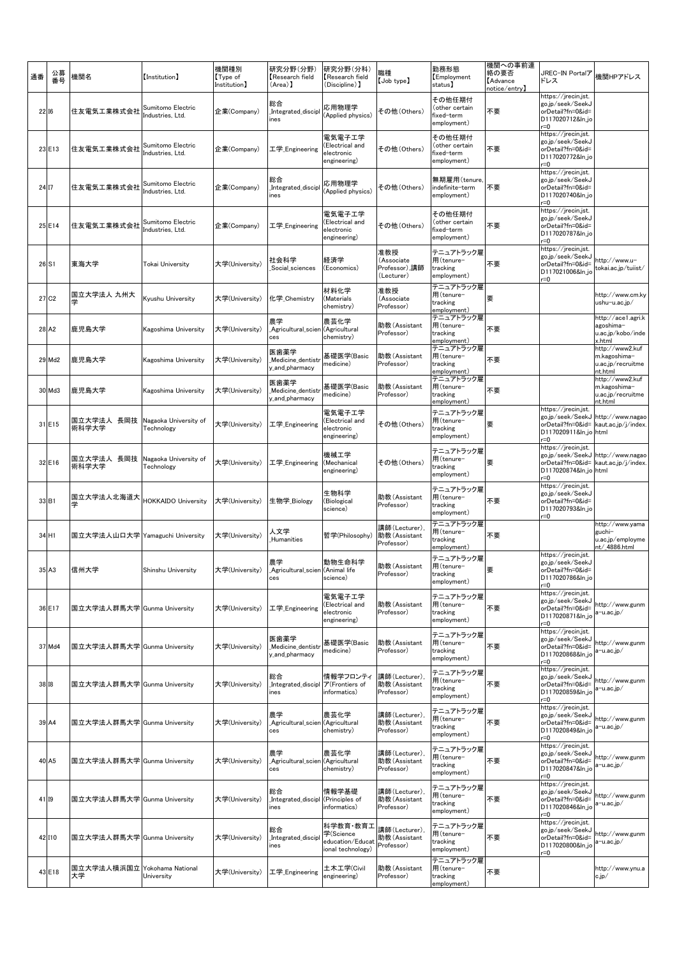| 通番 |                   | 公募<br>番号 | 機関名                                | 【Institution】                         | 機関種別<br>Type of<br>Institution] | 研究分野(分野)<br>Research field<br>(Area) 】        | 研究分野(分科)<br>Research field<br>(Discipline) ]                   | 職種<br>$[$ Job type $]$                           | 勤務形態<br>Employment<br>status]                         | 機関への事前連<br>絡の要否<br><b>Advance</b><br>notice/entry】 | JREC-IN Portalア<br>ドレス                                                                      | 機関HPアドレス                                                                   |
|----|-------------------|----------|------------------------------------|---------------------------------------|---------------------------------|-----------------------------------------------|----------------------------------------------------------------|--------------------------------------------------|-------------------------------------------------------|----------------------------------------------------|---------------------------------------------------------------------------------------------|----------------------------------------------------------------------------|
|    | <b>2216</b>       |          | 住友電気工業株式会社                         | Sumitomo Electric<br>Industries, Ltd. | 企業(Company)                     | 総合<br>Integrated_discipl<br>ines              | 応用物理学<br>(Applied physics)                                     | その他(Others)                                      | その他任期付<br>(other certain<br>fixed-term<br>employment) | 不要                                                 | https://jrecin.jst.<br>go.jp/seek/SeekJ<br>orDetail?fn=0&id=<br>D117020712&ln_jo<br>r=0     |                                                                            |
|    | 23 E13            |          | 住友電気工業株式会社                         | Sumitomo Electric<br>Industries, Ltd. | 企業(Company)                     | 工学_Engineering                                | 電気電子工学<br>(Electrical and<br>electronic<br>engineering)        | その他 (Others)                                     | その他任期付<br>(other certain<br>fixed-term<br>employment) | 不要                                                 | https://jrecin.jst.<br>go.jp/seek/SeekJ<br>orDetail?fn=0&id=<br>D117020772&ln_jo<br>$r = 0$ |                                                                            |
|    | 24 17             |          | 住友電気工業株式会社                         | Sumitomo Electric<br>Industries, Ltd. | 企業(Company)                     | 総合<br>Integrated_discipl<br>ines              | 応用物理学<br>(Applied physics)                                     | その他(Others)                                      | 無期雇用(tenure<br>indefinite-term<br>employment)         | 不要                                                 | https://jrecin.jst.<br>go.jp/seek/SeekJ<br>orDetail?fn=0&id=<br>D117020740&ln_jo<br>r=0     |                                                                            |
|    | 25 E14            |          | 住友雷気工業株式会社                         | Sumitomo Electric<br>Industries, Ltd. | 企業(Company)                     | 工学_Engineering                                | 電気電子工学<br>(Electrical and<br>electronic<br>engineering)        | その他(Others)                                      | その他任期付<br>(other certain<br>fixed-term<br>employment) | 不要                                                 | https://jrecin.jst.<br>go.jp/seek/SeekJ<br>orDetail?fn=0&id=<br>D117020787&ln_jo<br>$r = 0$ |                                                                            |
|    | 26 S1             |          | 東海大学                               | Tokai University                      | 大学(University)                  | 社会科学<br>Social sciences                       | 経済学<br>(Economics)                                             | 准教授<br>(Associate<br>Professor),講師<br>(Lecturer) | テニュアトラック雇<br>用(tenure-<br>tracking<br>employment)     | 不要                                                 | https://jrecin.jst.<br>go.jp/seek/SeekJ<br>orDetail?fn=0&id=<br>D117021006&ln_jo<br>r=0     | http://www.u-<br>tokai.ac.jp/tuiist/                                       |
|    | 27 C <sub>2</sub> |          | 国立大学法人 九州大<br>学                    | Kyushu University                     | 大学(University)                  | 化学_Chemistry                                  | 材料化学<br>(Materials<br>chemistry)                               | 准教授<br>(Associate<br>Professor)                  | テニュアトラック雇<br>用(tenure-<br>tracking<br>employment)     | 要                                                  |                                                                                             | http://www.cm.ky<br>ushu-u.ac.jp/                                          |
|    | 28 A2             |          | 鹿児島大学                              | Kagoshima Universitv                  | 大学(University)                  | 農学<br>Agricultural_scien (Agricultural<br>ces | 農芸化学<br>chemistry)                                             | 助教(Assistant<br>Professor)                       | テニュアトラック雇<br>用(tenure-<br>tracking<br>employment)     | 不要                                                 |                                                                                             | http://ace1.agri.k<br>agoshima-<br>u.ac.jp/kobo/inde<br>k.html             |
|    | 29 Md2            |          | 鹿児島大学                              | Kagoshima Universitv                  | 大学(University)                  | 医歯薬学<br>Medicine dentist<br>y_and_pharmacy    | 基礎医学(Basic<br>medicine)                                        | 助教(Assistant<br>Professor)                       | テニュアトラック雇<br>用(tenure-<br>tracking<br>employment)     | 不要                                                 |                                                                                             | http://www2.kuf<br>m.kagoshima-<br>u.ac.jp/recruitme<br>nt.html            |
|    | 30 Md3            |          | 鹿児島大学                              | Kagoshima Universitv                  | 大学(University)                  | 医歯薬学<br>Medicine_dentistr<br>y_and_pharmacy   | 基礎医学(Basic<br>medicine)                                        | 助教(Assistant<br>Professor)                       | テニュアトラック雇<br>用(tenure-<br>tracking<br>employment)     | 不要                                                 |                                                                                             | http://www2.kuf<br>m.kagoshima-<br>u.ac.jp/recruitme<br>nt.html            |
|    | 31 E15            |          | 国立大学法人 長岡技<br>術科学大学                | Nagaoka University of<br>Technology   | 大学(University)                  | 工学_Engineering                                | 電気電子工学<br>Electrical and<br>electronic<br>engineering)         | その他(Others)                                      | テニュアトラック雇<br>用(tenure-<br>tracking<br>employment)     | 要                                                  | https://jrecin.jst.<br>D117020911&ln_jo html<br>r=0                                         | go.jp/seek/SeekJ http://www.nagao<br>orDetail?fn=0&id= kaut.ac.jp/j/index. |
|    | 32 E16            |          | 国立大学法人 長岡技<br>術科学大学                | Nagaoka University of<br>Technology   | 大学(University)                  | 工学_Engineering                                | 機械工学<br>(Mechanical<br>engineering)                            | その他(Others)                                      | テニュアトラック雇<br>用(tenure-<br>tracking<br>employment)     | 要                                                  | https://jrecin.jst.<br>D117020874&ln_jo html<br>r=0                                         | go.jp/seek/SeekJ http://www.nagao<br>orDetail?fn=0&id= kaut.ac.jp/j/index. |
|    | 33 B1             |          | 国立大学法人北海道大<br>学                    | <b>HOKKAIDO University</b>            | 大学(University)                  | 生物学 Biology                                   | 生物科学<br>Biological)<br>science)                                | 助教(Assistant<br>Professor)                       | テニュアトラック雇<br>用(tenure-<br>tracking<br>employment)     | 不要                                                 | https://jrecin.jst.<br>go.jp/seek/SeekJ<br>orDetail?fn=0&id=<br>D117020793&ln_jo<br>$r = 0$ |                                                                            |
|    | 34 H1             |          | 国立大学法人山口大学  Yamaguchi University   |                                       | 大学(University)                  | 人文学<br>Humanities                             | 哲学(Philosophy)                                                 | 溝師(Lecturer),<br>助教(Assistant<br>Professor)      | テニュアトラック雇<br>用(tenure-<br>tracking<br>employment)     | 不要                                                 |                                                                                             | http://www.yama<br>guchi-<br>u.ac.jp/employme<br>nt/_4886.html             |
|    | 35 A3             |          | 信州大学                               | Shinshu University                    | 大学(University)                  | 農学<br>Agricultural_scien (Animal life<br>ces  | 動物生命科学<br>science)                                             | 助教(Assistant<br>Professor)                       | テニュアトラック雇<br>用(tenure-<br>tracking<br>employment)     | 要                                                  | nttps://jrecin.jst.<br>go.jp/seek/SeekJ<br>orDetail?fn=0&id=<br>D117020786&ln_jo<br>$=0$    |                                                                            |
|    | 36 E17            |          | 国立大学法人群馬大学 Gunma University        |                                       | 大学(University)                  | 工学_Engineering                                | 電気電子工学<br>(Electrical and<br>electronic<br>engineering)        | 助教(Assistant<br>Professor)                       | テニュアトラック雇<br>用(tenure-<br>tracking<br>employment)     | 不要                                                 | https://jrecin.jst.<br>go.jp/seek/SeekJ<br>orDetail?fn=0&id=<br>D117020871&ln_jo<br>r=0     | http://www.gunm<br>a−u.ac.jp⁄                                              |
|    | 37 Md4            |          | 国立大学法人群馬大学 Gunma University        |                                       | 大学(University)                  | 医歯薬学<br>Medicine_dentist<br>y_and_pharmacy    | 基礎医学(Basic<br>medicine)                                        | 助教(Assistant)<br>Professor)                      | テニュアトラック雇<br>用(tenure-<br>tracking<br>employment)     | 不要                                                 | https://jrecin.jst.<br>go.jp/seek/SeekJ<br>orDetail?fn=0&id=<br>D117020868&ln_jo<br>$r = 0$ | http://www.gunm<br>a−u.ac.jp⁄                                              |
|    | 38 18             |          | 国立大学法人群馬大学 Gunma University        |                                       | 大学(University)                  | 総合<br>Integrated_discipl<br>ines              | 情報学フロンティ<br>ア(Frontiers of<br>informatics)                     | 講師(Lecturer),<br>助教(Assistant<br>Professor)      | テニュアトラック雇<br>用(tenure-<br>tracking<br>employment)     | 不要                                                 | https://jrecin.jst.<br>go.jp/seek/SeekJ<br>orDetail?fn=0&id=<br>D117020859&ln_jo<br>$r = 0$ | nttp://www.gunm<br>a−u.ac.jp⁄                                              |
|    | 39 A4             |          | 国立大学法人群馬大学 Gunma University        |                                       | 大学(University)                  | 農学<br>Agricultural_scier<br>ces               | 農芸化学<br>(Agricultural<br>chemistry)                            | 講師(Lecturer)<br>助教(Assistant<br>Professor)       | テニュアトラック雇<br>用(tenure-<br>tracking<br>employment)     | 不要                                                 | https://jrecin.jst.<br>go.jp/seek/SeekJ<br>orDetail?fn=0&id=<br>D117020849&ln_jo<br>$r = 0$ | http://www.gunm<br>a-u.ac.jp/                                              |
|    | 40 A <sub>5</sub> |          | 国立大学法人群馬大学 Gunma University        |                                       | 大学(University)                  | 農学<br>Agricultural_scien (Agricultural<br>ces | 農芸化学<br>chemistry)                                             | 講師(Lecturer)<br>助教(Assistant<br>Professor)       | テニュアトラック雇<br>用(tenure-<br>tracking<br>employment)     | 不要                                                 | https://jrecin.jst.<br>go.jp/seek/SeekJ<br>orDetail?fn=0&id=<br>D117020847&ln_jo<br>$r = 0$ | http://www.gunm<br>a−u.ac.jp⁄                                              |
|    | 41 19             |          | 国立大学法人群馬大学 Gunma University        |                                       | 大学(University)                  | 総合<br>Integrated_discipl<br>ines              | 情報学基礎<br>(Principles of<br>informatics)                        | 講師(Lecturer),<br>助教(Assistant<br>Professor)      | テニュアトラック雇<br>用(tenure-<br>tracking<br>employment)     | 不要                                                 | https://jrecin.jst.<br>go.jp/seek/SeekJ<br>orDetail?fn=0&id=<br>D117020846&ln_jo<br>r=0     | http://www.gunm<br>a−u.ac.jp⁄                                              |
|    | 42 110            |          | 国立大学法人群馬大学 Gunma University        |                                       | 大学(University)                  | 総合<br>Integrated_discipl<br>ines              | 科学教育・教育工<br>学(Science<br>education/Educat<br>ional technology) | 講師(Lecturer),<br>助教(Assistant<br>Professor)      | テニュアトラック雇<br>用(tenure-<br>tracking<br>employment)     | 不要                                                 | https://jrecin.jst.<br>go.jp/seek/SeekJ<br>orDetail?fn=0&id=<br>D117020800&ln_jo<br>$r = 0$ | http://www.gunm<br>a−u.ac.jp⁄                                              |
|    | 43 E18            |          | 国立大学法人横浜国立 Yokohama National<br>大学 | University                            | 大学(University)                  | 工学_Engineering                                | 土木工学(Civil<br>engineering)                                     | 助教(Assistant<br>Professor)                       | テニュアトラック雇<br>用(tenure-<br>tracking<br>employment)     | 不要                                                 |                                                                                             | http://www.ynu.a<br>c.jp/                                                  |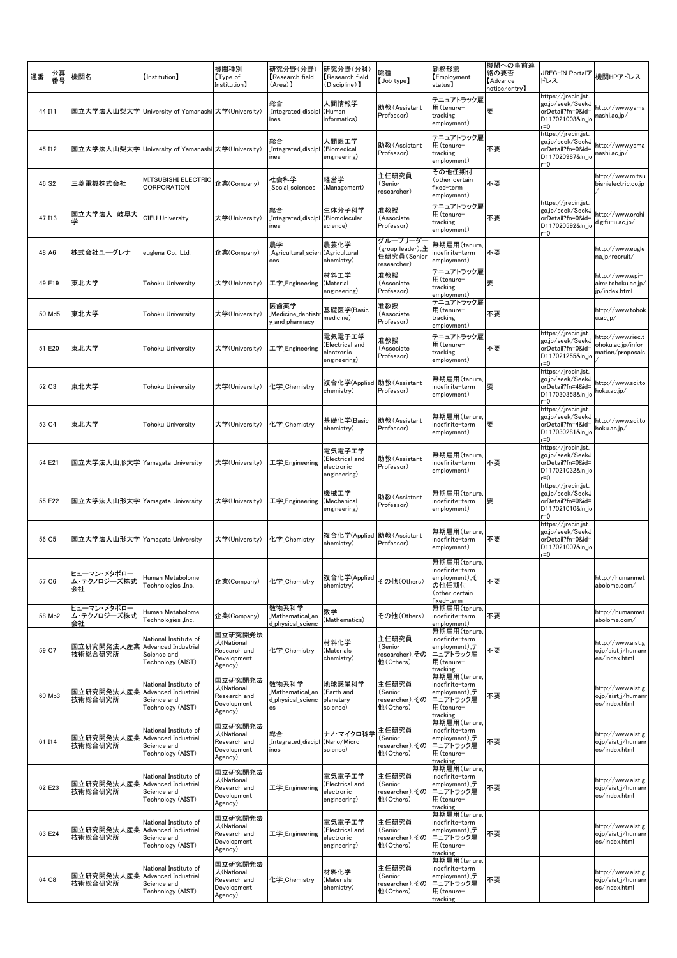| 通番 | 公募<br>番号          | 機関名                                        | [Institution]                                                                           | 機関種別<br>Type of<br>Institution]                                 | 研究分野(分野)<br>Research field<br>(Area) ]              | 研究分野(分科)<br>Research field<br>(Discipline) 】            | 職種<br>$[$ Job type $]$                                     | 勤務形態<br>Employment<br>status]                                                                         | 機関への事前連<br>絡の要否<br><b>Advance</b><br>notice/entry】 | JREC-IN Portalア<br>ドレス                                                                      | 機関HPアドレス                                                   |
|----|-------------------|--------------------------------------------|-----------------------------------------------------------------------------------------|-----------------------------------------------------------------|-----------------------------------------------------|---------------------------------------------------------|------------------------------------------------------------|-------------------------------------------------------------------------------------------------------|----------------------------------------------------|---------------------------------------------------------------------------------------------|------------------------------------------------------------|
|    | 44 111            |                                            | 国立大学法人山梨大学 University of Yamanashi 大学(University)                                       |                                                                 | 総合<br>Integrated_discipl<br>ines                    | 人間情報学<br>(Human<br>informatics)                         | 助教(Assistant<br>Professor)                                 | テニュアトラック雇<br>用(tenure-<br>tracking<br>employment)                                                     | 要                                                  | https://jrecin.jst<br>go.jp/seek/SeekJ<br>orDetail?fn=0&id=<br>D117021003&ln_jo<br>r=0      | http://www.yama<br>nashi.ac.jp/                            |
|    | 45 112            |                                            | 国立大学法人山梨大学 University of Yamanashi 大学(University)                                       |                                                                 | 総合<br>Integrated_discipl<br>ines                    | 人間医工学<br>(Biomedical<br>engineering)                    | 助教(Assistant<br>Professor)                                 | テニュアトラック雇<br>用(tenure-<br>tracking<br>employment)                                                     | 不要                                                 | https://jrecin.jst<br>go.jp/seek/SeekJ<br>orDetail?fn=0&id=<br>D117020987&ln_jc<br>r=0      | http://www.yama<br>nashi.ac.jp/                            |
|    | 46 S <sub>2</sub> | 三菱電機株式会社                                   | MITSUBISHI ELECTRIC<br>CORPORATION                                                      | 企業(Company)                                                     | 社会科学<br>Social sciences                             | 経営学<br>(Management)                                     | 主任研究員<br>(Senior<br>researcher)                            | その他任期付<br>(other certain<br>fixed-term<br>employment)                                                 | 不要                                                 |                                                                                             | http://www.mitsu<br>bishielectric.co.jp                    |
|    | 47 113            | 国立大学法人 岐阜大<br>学                            | <b>GIFU University</b>                                                                  | 大学(University)                                                  | 総合<br>Integrated_discipl<br>ines                    | 生体分子科学<br>(Biomolecular<br>science)                     | 准教授<br>(Associate<br>Professor)                            | テニュアトラック雇<br>用(tenure-<br>tracking<br>employment)                                                     | 不要                                                 | https://jrecin.jst.<br>go.jp/seek/SeekJ<br>orDetail?fn=0&id=<br>D117020592&ln_jc<br>$r = 0$ | http://www.orchi<br>d.gifu-u.ac.jp/                        |
|    | 48 A6             | 株式会社ユーグレナ                                  | euglena Co., Ltd.                                                                       | 企業(Company)                                                     | 農学<br>Agricultural_scien<br>ces                     | 農芸化学<br>(Agricultural<br>chemistry)                     | グループリーダー<br>(group leader),主<br>任研究員(Senior<br>researcher) | 無期雇用(tenure<br>ndefinite-term<br>employment)                                                          | 不要                                                 |                                                                                             | http://www.eugle<br>na.jp/recruit/                         |
|    | 49 E19            | 東北大学                                       | Tohoku University                                                                       | 大学(University)                                                  | 工学 Engineering                                      | 材料工学<br>(Material<br>engineering)                       | 准教授<br>(Associate<br>Professor)                            | テニュアトラック雇<br>用(tenure-<br>tracking<br>employment)                                                     | 要                                                  |                                                                                             | http://www.wpi-<br>aimr.tohoku.ac.jp/<br>ip/index.html     |
|    | 50 Md5            | 東北大学                                       | Tohoku University                                                                       | 大学(University)                                                  | 医歯薬学<br>Medicine dentistr<br>y_and_pharmacy         | 基礎医学(Basic<br>medicine)                                 | 准教授<br>(Associate<br>Professor)                            | テニュアトラック雇<br>用(tenure-<br>tracking<br>employment)                                                     | 不要                                                 |                                                                                             | http://www.tohok<br>u.ac.jp/                               |
|    | 51 E20            | 東北大学                                       | Tohoku University                                                                       | 大学(University)                                                  | 工学_Engineering                                      | 電気電子工学<br>(Electrical and<br>electronic<br>engineering) | 准教授<br>(Associate<br>Professor)                            | テニュアトラック雇<br>用(tenure-<br>tracking<br>employment)                                                     | 不要                                                 | https://jrecin.jst.<br>go.jp/seek/SeekJ<br>orDetail?fn=0&id=<br>D117021255&ln.jd<br>$= 0$   | http://www.riec.t<br>ohoku.ac.jp/infor<br>mation/proposals |
|    | 52 C3             | 東北大学                                       | Tohoku University                                                                       | 大学(University)                                                  | 化学_Chemistry                                        | 複合化学(Applied<br>chemistry)                              | 助教 (Assistant<br>Professor)                                | 無期雇用(tenure,<br>ndefinite-term<br>employment)                                                         | 要                                                  | https://jrecin.jst.<br>go.jp/seek/SeekJ<br>orDetail?fn=4&id=<br>D117030358&ln_jc<br>$=0$    | http://www.sci.to<br>hoku.ac.jp/                           |
|    | 53 C4             | 東北大学                                       | Tohoku University                                                                       | 大学(University)                                                  | 化学_Chemistry                                        | 基礎化学(Basic<br>chemistry)                                | 助教(Assistant<br>Professor)                                 | 無期雇用(tenure,<br>indefinite-term<br>employment)                                                        | 要                                                  | https://jrecin.jst.<br>go.jp/seek/SeekJ<br>orDetail?fn=4&id=<br>D117030281&ln.jd<br>r=0     | http://www.sci.to<br>hoku.ac.jp/                           |
|    | 54 E21            | 国立大学法人山形大学 Yamagata University             |                                                                                         | 大学(University)                                                  | 工学_Engineering                                      | 電気電子工学<br>Electrical and<br>electronic<br>engineering)  | 助教(Assistant<br>Professor)                                 | 無期雇用(tenure<br>indefinite-term<br>employment)                                                         | 不要                                                 | https://jrecin.jst.<br>go.jp/seek/SeekJ<br>orDetail?fn=0&id=<br>D117021032&ln_jo<br>r=0     |                                                            |
|    | 55 E22            | 国立大学法人山形大学 Yamagata University             |                                                                                         | 大学(University)                                                  | 工学_Engineering                                      | 機械工学<br>(Mechanical<br>engineering)                     | 助教(Assistant<br>Professor)                                 | 無期雇用(tenure,<br>indefinite-term<br>employment)                                                        | 要                                                  | https://jrecin.jst.<br>go.jp/seek/SeekJ<br>orDetail?fn=0&id=<br>D117021010&ln_jo<br>r=0     |                                                            |
|    | 56 C5             | 国立大学法人山形大学 Yamagata University             |                                                                                         | 大学(University)                                                  | 化学_Chemistry                                        | 複合化学(Applied<br>chemistry)                              | 助教 (Assistant<br>Professor)                                | 無期雇用(tenure<br>indefinite-term<br>employment)                                                         | 不要                                                 | https://jrecin.jst.<br>go.jp/seek/SeekJ<br>orDetail?fn=0&id=<br>D117021007&ln_jo<br>$= 0$   |                                                            |
|    | 57 C6             | ヒューマン・メタボロー<br>ム・テクノロジーズ株式<br>会社           | Human Metabolome<br>Technologies , Inc.                                                 | 企業(Company)                                                     | 化学_Chemistry                                        | 複合化学(Applied<br>chemistry)                              | その他 (Others)                                               | 無期雇用(tenure,<br>indefinite-term<br>employment),そ<br>の他任期付<br>(other certain<br>fixed–term             | 不要                                                 |                                                                                             | http://humanmet<br>abolome.com/                            |
|    | 58 Mp2            | ヒューマン・メタボロー<br>ム・テクノロジーズ株式<br>会社           | luman Metabolome<br>Technologies , Inc.                                                 | 企業(Company)                                                     | 数物系科学<br>Mathematical an<br>d_physical_scienc       | 数学<br>(Mathematics)                                     | その他 (Others)                                               | 無期雇用(tenure,<br>indefinite–term<br>employment)                                                        | 不要                                                 |                                                                                             | http://humanmet<br>abolome.com/                            |
|    | 59 C7             | 国立研究開発法人産業<br>技術総合研究所                      | National Institute of<br><b>Advanced Industrial</b><br>Science and<br>Technology (AIST) | 国立研究開発法<br>人(National<br>Research and<br>Development<br>Agency) | 化学 Chemistry                                        | 材料化学<br>(Materials<br>chemistry)                        | 主任研究員<br>(Senior<br>researcher),その<br>他(Others)            | 無期雇用(tenure<br>indefinite-term<br>employment),テ<br>ニュアトラック雇<br>用(tenure-<br>tracking                  | 不要                                                 |                                                                                             | http://www.aist.g<br>o.jp/aist_j/humanr<br>es/index.html   |
|    | 60 Mp3            | 国立研究開発法人産業<br>技術総合研究所                      | National Institute of<br><b>Advanced Industrial</b><br>Science and<br>Technology (AIST) | 国立研究開発法<br>人(National<br>Research and<br>Development<br>Agency) | 数物系科学<br>Mathematical_an<br>d physical scienc<br>es | 地球惑星科学<br>(Earth and<br>planetary<br>science)           | 主任研究員<br>(Senior<br>researcher),その<br>他(Others)            | 無期雇用(tenure<br>indefinite-term<br>employment),テ<br>ニュアトラック雇<br>用(tenure-<br>tracking                  | 不要                                                 |                                                                                             | http://www.aist.g<br>o.jp/aist_j/humanı<br>es/index.html   |
|    | 61 I14            | 国立研究開発法人産業<br>技術総合研究所                      | National Institute of<br>Advanced Industrial<br>Science and<br>Technology (AIST)        | 国立研究開発法<br>人(National<br>Research and<br>Development<br>Agency) | 総合<br>Integrated_discipl<br>ines                    | ナノ・マイクロ科学<br>(Nano/Micro<br>science)                    | 主任研究員<br>(Senior<br>researcher),その<br>他(Others)            | 無期雇用(tenure<br>indefinite-term<br>employment), $\bar{\bm{\tau}}$<br>ニュアトラック雇<br>用(tenure-<br>tracking | 不要                                                 |                                                                                             | http://www.aist.g<br>o.jp/aist_j/humanı<br>es/index.html   |
|    | 62 E23            | 国立研究開発法人産業  Advanced Industrial<br>技術総合研究所 | National Institute of<br>Science and<br>Technology (AIST)                               | 国立研究開発法<br>人(National<br>Research and<br>Development<br>Agency) | 工学_Engineering                                      | 電気電子工学<br>(Electrical and<br>electronic<br>engineering) | 主任研究員<br>(Senior<br>researcher),その<br>他(Others)            | 無期雇用(tenure<br>indefinite-term<br>employment),テ<br>ニュアトラック雇<br>用(tenure-<br>tracking                  | 不要                                                 |                                                                                             | http://www.aist.g<br>o.jp/aist_j/humanı<br>es/index.html   |
|    | 63 E24            | 国立研究開発法人産業<br>技術総合研究所                      | National Institute of<br><b>Advanced Industrial</b><br>Science and<br>Technology (AIST) | 国立研究開発法<br>人(National<br>Research and<br>Development<br>Agency) | 工学_Engineering                                      | 電気電子工学<br>(Electrical and<br>electronic<br>engineering) | 主任研究員<br>(Senior<br>researcher),その<br>他 (Others)           | 無期雇用(tenure,<br>indefinite-term<br>employment),テ<br>ニュアトラック雇<br>用(tenure-<br>tracking                 | 不要                                                 |                                                                                             | http://www.aist.g<br>o.jp/aist_j/humanı<br>es/index.html   |
|    | 64 C8             | 国立研究開発法人産業<br>技術総合研究所                      | National Institute of<br><b>Advanced Industrial</b><br>Science and<br>Technology (AIST) | 国立研究開発法<br>人(National<br>Research and<br>Development<br>Agency) | 化学_Chemistry                                        | 材料化学<br>(Materials<br>chemistry)                        | 主任研究員<br>(Senior<br>researcher),その<br>他(Others)            | 無期雇用(tenure<br>indefinite-term<br>employment) ,テ<br>ニュアトラック雇<br>用(tenure-<br>tracking                 | 不要                                                 |                                                                                             | http://www.aist.g<br>o.jp/aist_j/humanı<br>es/index.html   |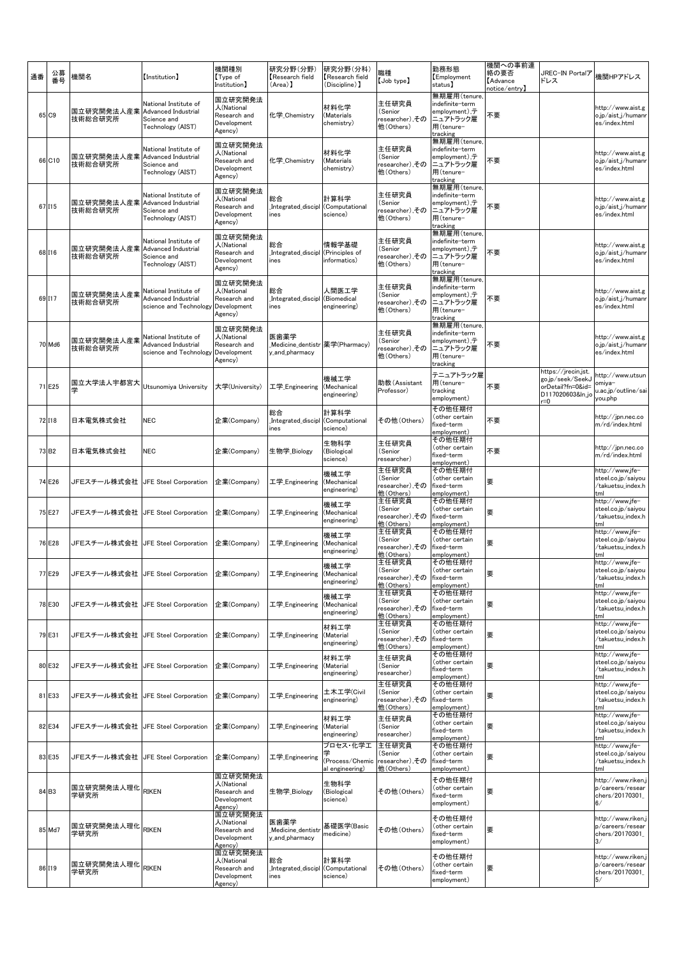| 通番 |                   | 公募<br>番号 | 機関名                                        | [Institution]                                                                           | 機関種別<br>Type of<br>Institution]                                 | 研究分野(分野)<br>Research field<br>(Area) 】                     | 研究分野(分科)<br>Research field<br>(Discipline) 】   | 職種<br>[Job type]                                 | 勤務形態<br>Employment<br>status)                                                                                | 機関への事前連<br>絡の要否<br><b>Advance</b><br>notice/entry】 | JREC-IN Portalア<br>ドレス                                                                  | 機関HPアドレス                                                          |
|----|-------------------|----------|--------------------------------------------|-----------------------------------------------------------------------------------------|-----------------------------------------------------------------|------------------------------------------------------------|------------------------------------------------|--------------------------------------------------|--------------------------------------------------------------------------------------------------------------|----------------------------------------------------|-----------------------------------------------------------------------------------------|-------------------------------------------------------------------|
|    | 65 C9             |          | 国立研究開発法人産業<br>技術総合研究所                      | National Institute of<br><b>Advanced Industrial</b><br>Science and<br>Technology (AIST) | 国立研究開発法<br>人(National<br>Research and<br>Development<br>Agency) | 化学_Chemistry                                               | 材料化学<br>(Materials<br>chemistry)               | 主任研究員<br>(Senior<br>researcher),その<br>他(Others)  | 無期雇用(tenure<br>indefinite-term<br>employment),テ<br>ニュアトラック雇<br>用(tenure-<br>tracking                         | 不要                                                 |                                                                                         | http://www.aist.g<br>o.jp/aist_j/humanı<br>es/index.html          |
|    | 66 C10            |          | 国立研究開発法人産業  Advanced Industrial<br>技術総合研究所 | National Institute of<br>Science and<br>Technology (AIST)                               | 国立研究開発法<br>人(National<br>Research and<br>Development<br>Agency) | 化学_Chemistry                                               | 材料化学<br>(Materials<br>chemistry)               | 主任研究員<br>(Senior<br>researcher),その<br>他(Others)  | 無期雇用(tenure<br>indefinite-term<br>employment), $\bar{\bm{\tau}}$<br>ニュアトラック雇<br>用(tenure-<br>tracking        | 不要                                                 |                                                                                         | http://www.aist.g<br>o.jp/aist_j/humanı<br>es/index.html          |
|    | 67 115            |          | 国立研究開発法人産業  Advanced Industrial<br>技術総合研究所 | National Institute of<br>Science and<br>Technology (AIST)                               | 国立研究開発法<br>人(National<br>Research and<br>Development<br>Agency) | 総合<br>Integrated_discipl (Computational<br>ines            | 計算科学<br>science)                               | 主任研究員<br>(Senior<br>researcher),その<br>他(Others)  | 無期雇用(tenure<br>indefinite-term<br>employment),テ<br>ニュアトラック雇<br>用(tenure-                                     | 不要                                                 |                                                                                         | http://www.aist.g<br>o.jp/aist_j/humanı<br>es/index.html          |
|    | 68 I16            |          | 国立研究開発法人産業<br>技術総合研究所                      | National Institute of<br><b>Advanced Industrial</b><br>Science and<br>Technology (AIST) | 国立研究開発法<br>人(National<br>Research and<br>Development<br>Agency) | 総合<br>Integrated_discipl<br>ines                           | 情報学基礎<br>(Principles of<br>informatics)        | 主任研究員<br>(Senior<br>researcher),その<br>他(Others)  | <br><u>tracking</u><br>無期雇用(tenure,<br>indefinite-term<br>employment),テ<br>ニュアトラック雇<br>用(tenure-<br>tracking | 不要                                                 |                                                                                         | http://www.aist.g<br>o.jp/aist_j/humanı<br>es/index.html          |
|    | 69 117            |          | 国立研究開発法人産業<br>技術総合研究所                      | National Institute of<br>Advanced Industrial<br>science and Technology                  | 国立研究開発法<br>人(National<br>Research and<br>Development<br>Agency) | 総合<br>Integrated_discipl<br>ines                           | 人間医工学<br>(Biomedical<br>engineering)           | 主任研究員<br>(Senior<br>researcher),その<br>他(Others)  | 無期雇用(tenure<br>indefinite-term<br>employment), $\bar{\bm{\tau}}$<br>ニュアトラック雇<br>用(tenure-<br>tracking        | 不要                                                 |                                                                                         | http://www.aist.g<br>o.jp/aist_j/humanı<br>es/index.html          |
|    | 70 Md6            |          | 国立研究開発法人産業<br>技術総合研究所                      | National Institute of<br>Advanced Industrial<br>science and Technology                  | 国立研究開発法<br>人(National<br>Research and<br>Development<br>Agency) | 医歯薬学<br>_Medicine_dentistr  薬学(Pharmacy)<br>y_and_pharmacy |                                                | 主任研究員<br>(Senior<br>researcher),その<br>他(Others)  | 無期雇用(tenure<br>indefinite-term<br>employment) .テ<br>ニュアトラック雇<br>用(tenure-<br>tracking                        | 不要                                                 |                                                                                         | http://www.aist.g<br>o.jp/aist_j/humanı<br>es/index.html          |
|    | 71 E25            |          | 国立大学法人宇都宮大<br>学                            | Utsunomiya University                                                                   | 大学(University)                                                  | 工学_Engineering                                             | 機械工学<br>(Mechanical<br>engineering)            | 助教(Assistant<br>Professor)                       | テニュアトラック雇<br>用(tenure-<br>tracking<br>employment)                                                            | 不要                                                 | https://jrecin.jst.<br>go.jp/seek/SeekJ<br>orDetail?fn=0&id=<br>D117020603&ln_jc<br>r=0 | http://www.utsun<br>omiya-<br>u.ac.jp/outline/sa<br>you.php       |
|    | <b>72118</b>      |          | 日本電気株式会社                                   | <b>NEC</b>                                                                              | 企業(Company)                                                     | 総合<br>Integrated_discipl<br>ines                           | 計算科学<br>(Computational<br>science)             | その他 (Others)                                     | その他任期付<br>(other certain<br>fixed-term<br>employment)                                                        | 不要                                                 |                                                                                         | http://jpn.nec.co<br>m/rd/index.html                              |
|    | 73 B <sub>2</sub> |          | 日本電気株式会社                                   | <b>NEC</b>                                                                              | 企業(Company)                                                     | 生物学_Biology                                                | 生物科学<br>(Biological<br>science)                | 主任研究員<br>(Senior<br>researcher)                  | その他任期付<br>(other certain<br>fixed-term<br>employment)                                                        | 不要                                                 |                                                                                         | http://jpn.nec.co<br>m/rd/index.html                              |
|    | 74 E26            |          | JFEスチール株式会社 JFE Steel Corporation          |                                                                                         | 企業(Company)                                                     | 工学 Engineering                                             | 機械工学<br>(Mechanical<br>engineering)            | 主任研究員<br>(Senior<br>researcher),その<br>他(Others)  | その他任期付<br>(other certain<br>fixed-term<br>employment)                                                        | 要                                                  |                                                                                         | http://www.jfe-<br>steel.co.jp/saiyou<br>/takuetsu_index.h<br>tml |
|    | 75 E27            |          | JFEスチール株式会社 JFE Steel Corporation          |                                                                                         | 企業(Company)                                                     | 工学_Engineering                                             | 機械工学<br>(Mechanical<br>engineering)            | 主任研究員<br>(Senior<br>researcher),その<br>他(Others)  | その他任期付<br>(other certain<br>fixed-term<br>employment)                                                        | 要                                                  |                                                                                         | http://www.jfe-<br>steel.co.jp/saiyou<br>/takuetsu_index.h<br>tml |
|    | 76 E28            |          | JFEスチール株式会社 JFE Steel Corporation          |                                                                                         | 企業(Company)                                                     | 工学 Engineering                                             | 機械工学<br>(Mechanical<br>engineering)            | 主任研究員<br>(Senior<br>researcher),その<br>他(Others)  | その他任期付<br>(other certain<br>fixed-term<br>employment)                                                        | 要                                                  |                                                                                         | http://www.jfe-<br>steel.co.jp/saiyou<br>/takuetsu_index.h<br>tml |
|    | 77 E29            |          | JFEスチール株式会社 JFE Steel Corporation          |                                                                                         | 企業(Company)                                                     | 工学_Engineering (Mechanical                                 | 機械工学<br>engineering)                           | 主任研究員<br>Senior<br>researcher),その<br>他(Others)   | その他任期付<br>(other certain<br>fixed-term<br>employment)                                                        | 要                                                  |                                                                                         | http://www.jfe-<br>steel.co.jp/saiyou<br>/takuetsu_index.h<br>tml |
|    | 78 E30            |          | JFEスチール株式会社 JFE Steel Corporation          |                                                                                         | 企業(Company)                                                     | 工学_Engineering                                             | 機械工学<br>(Mechanical<br>engineering)            | 主任研究員<br>(Senior<br>researcher),その<br>他(Others)  | その他任期付<br>(other certain<br>fixed-term<br>employment)                                                        | 要                                                  |                                                                                         | http://www.jfe-<br>steel.co.jp/saiyou<br>/takuetsu_index.h<br>tml |
|    | 79 E31            |          | JFEスチール株式会社                                | JFE Steel Corporation                                                                   | 企業(Company)                                                     | 工学 <sub>_</sub> Engineering                                | 材料工学<br>(Material<br>engineering)              | 主任研究員<br>(Senior<br>researcher),その<br>他(Others)  | その他任期付<br>(other certain<br>fixed-term<br>employment)                                                        | 要                                                  |                                                                                         | http://www.jfe-<br>steel.co.jp/saiyou<br>/takuetsu_index.h<br>tml |
|    | 80 E32            |          | JFEスチール株式会社 JFE Steel Corporation          |                                                                                         | 企業(Company)                                                     | 工学 Engineering                                             | 材料工学<br>(Material<br>engineering)              | 主任研究員<br>(Senior<br>researcher)                  | その他任期付<br>(other certain<br>fixed-term<br>employment)                                                        | 要                                                  |                                                                                         | http://www.jfe-<br>steel.co.jp/saiyou<br>/takuetsu_index.h<br>tml |
|    | 81 E33            |          | JFEスチール株式会社 JFE Steel Corporation          |                                                                                         | 企業(Company)                                                     | 工学_Engineering                                             | 土木工学(Civil<br>engineering)                     | 主任研究員<br>(Senior<br>researcher),その<br>他 (Others) | その他任期付<br>(other certain<br>fixed-term<br>employment)                                                        | 要                                                  |                                                                                         | http://www.jfe-<br>steel.co.jp/saiyou<br>/takuetsu_index.h<br>tml |
|    | 82 E34            |          | JFEスチール株式会社 JFE Steel Corporation          |                                                                                         | 企業(Company)                                                     | 工学_Engineering                                             | 材料工学<br>(Material<br>engineering)              | 主任研究員<br>(Senior<br>researcher)                  | その他任期付<br>(other certain<br>fixed-term<br><u>employment)</u>                                                 | 要                                                  |                                                                                         | http://www.jfe-<br>steel.co.jp/saiyou<br>/takuetsu_index.h<br>tml |
|    | 83 E35            |          | JFEスチール株式会社  JFE Steel Corporation         |                                                                                         | 企業(Company)                                                     | 工学 <sub>_</sub> Engineering                                | プロセス・化学工<br>(Process/Chemic<br>al engineering) | 主任研究員<br>(Senior<br>researcher),その<br>他(Others)  | その他任期付<br>(other certain<br>fixed-term<br>employment)                                                        | 要                                                  |                                                                                         | http://www.jfe-<br>steel.co.jp/saiyou<br>/takuetsu_index.h<br>tml |
|    | 84 B3             |          | 国立研究開発法人理化<br>学研究所                         | <b>RIKEN</b>                                                                            | 国立研究開発法<br>人(National<br>Research and<br>Development<br>Agency) | 生物学_Biology                                                | 生物科学<br>(Biological<br>science)                | その他(Others)                                      | その他任期付<br>(other certain<br>fixed-term<br>employment)                                                        | 要                                                  |                                                                                         | http://www.riken.<br>p/careers/resear<br>chers/20170301<br>6/     |
|    | 85 Md7            |          | 国立研究開発法人理化<br>学研究所                         | <b>RIKEN</b>                                                                            | 国立研究開発法<br>人(National<br>Research and<br>Development<br>Agency) | 医歯薬学<br>Medicine_dentist<br>y_and_pharmacy                 | 基礎医学(Basic<br>medicine)                        | その他 (Others)                                     | その他任期付<br>(other certain<br>fixed-term<br>employment)                                                        | 要                                                  |                                                                                         | http://www.riken.<br>p/careers/resear<br>chers/20170301<br>3/     |
|    | 86 119            |          | 国立研究開発法人理化<br>学研究所                         | <b>RIKEN</b>                                                                            | 国立研究開発法<br>人(National<br>Research and<br>Development<br>Agency) | 総合<br>Integrated_discipl<br>ines                           | 計算科学<br>(Computational<br>science)             | その他(Others)                                      | その他任期付<br>other certain)<br>fixed–term<br>employment)                                                        | 要                                                  |                                                                                         | http://www.riken.<br>p/careers/resear<br>chers/20170301_<br>5/    |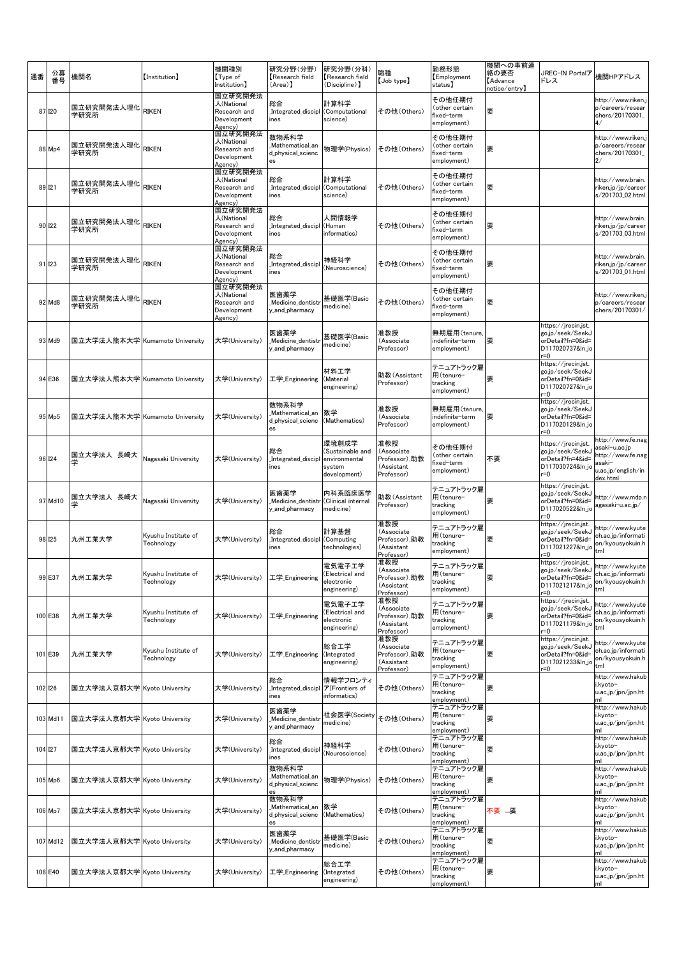| 通番 |          | 公募<br>番号 | 機関名                            | (Institution)                     | 機関種別<br>Type of<br>Institution]                                 | 研究分野(分野)<br>Research field<br>(Area) 】              | 研究分野(分科)<br>Research field<br>(Discipline) 】                         | 職種<br>$[$ Job type $]$                                         | 勤務形態<br>Employment<br>status]                                  | 機関への事前連<br>絡の要否<br><b>Advance</b><br>notice/entry】 | JREC-IN Portalア<br>ドレス                                                                      | 機関HPアドレス                                                                                            |
|----|----------|----------|--------------------------------|-----------------------------------|-----------------------------------------------------------------|-----------------------------------------------------|----------------------------------------------------------------------|----------------------------------------------------------------|----------------------------------------------------------------|----------------------------------------------------|---------------------------------------------------------------------------------------------|-----------------------------------------------------------------------------------------------------|
|    | 87 120   |          | 国立研究開発法人理化 RIKEN<br>学研究所       |                                   | 国立研究開発法<br>人(National<br>Research and<br>Development<br>Agency) | 総合<br>Integrated_discipl<br>ines                    | 計算科学<br>(Computational<br>science)                                   | その他(Others)                                                    | その他任期付<br>(other certain<br>fixed-term<br>employment)          | 要                                                  |                                                                                             | http://www.riken.j<br>p/careers/resear<br>chers/20170301<br>4/                                      |
|    | 88 Mp4   |          | 国立研究開発法人理化<br>学研究所             | RIKEN                             | 国立研究開発法<br>人(National<br>Research and<br>Development<br>Agency) | 数物系科学<br>Mathematical_an<br>d_physical_scienc       | 物理学(Physics)                                                         | その他 (Others)                                                   | その他任期付<br>(other certain<br>fixed-term<br>employment)          | 要                                                  |                                                                                             | http://www.riken.j<br>p/careers/resear<br>chers/20170301<br>2/                                      |
|    | 89 121   |          | 国立研究開発法人理化<br>学研究所             | <b>RIKEN</b>                      | 国立研究開発法<br>人(National<br>Research and<br>Development<br>Agency) | 総合<br>Integrated_discipl_<br>ines                   | 計算科学<br>(Computational<br>science)                                   | その他 (Others)                                                   | その他任期付<br>(other certain<br>fixed-term<br>employment)          | 要                                                  |                                                                                             | http://www.brain.<br>riken.jp/jp/career<br>s/201703_02.html                                         |
|    | 90 122   |          | 国立研究開発法人理化<br>学研究所             | RIKEN                             | 国立研究開発法<br>人(National<br>Research and<br>Development<br>Agency) | 総合<br>Integrated_discipl<br>ines                    | 人間情報学<br>(Human<br>informatics)                                      | その他 (Others)                                                   | その他任期付<br>(other certain<br>fixed-term<br>employment)          | 要                                                  |                                                                                             | http://www.brain.<br>riken.jp/jp/career<br>s/201703_03.html                                         |
|    | 91 123   |          | 国立研究開発法人理化<br>学研究所             | <b>RIKEN</b>                      | 国立研究開発法<br>人(National<br>Research and<br>Development<br>Agency) | 総合<br>Integrated_discipl<br>ines                    | 神経科学<br>(Neuroscience)                                               | その他 (Others)                                                   | その他任期付<br>(other certain<br>fixed-term<br>employment)          | 要                                                  |                                                                                             | http://www.brain.<br>riken.jp/jp/career<br>s/201703_01.html                                         |
|    | 92 Md8   |          | 国立研究開発法人理化<br>学研究所             | <b>RIKEN</b>                      | 国立研究開発法<br>人(National<br>Research and<br>Development<br>Agency) | 医歯薬学<br>Medicine_dentist<br>y_and_pharmacy          | 基礎医学(Basic<br>medicine)                                              | その他 (Others)                                                   | その他任期付<br>(other certain<br>fixed-term<br>employment)          | 要                                                  |                                                                                             | http://www.riken.j<br>p/careers/resear<br>chers/20170301/                                           |
|    | 93 Md9   |          | 国立大学法人熊本大学 Kumamoto University |                                   | 大学(University)                                                  | 医歯薬学<br>Medicine_dentist<br>y_and_pharmacy          | 基礎医学(Basic<br>medicine)                                              | 准教授<br>(Associate<br>Professor)                                | 無期雇用(tenure,<br>indefinite-term<br>employment)                 | 要                                                  | https://jrecin.jst.<br>go.jp/seek/SeekJ<br>orDetail?fn=0&id=<br>D117020737&ln_jo<br>r=0     |                                                                                                     |
|    | 94 E36   |          | 国立大学法人熊本大学 Kumamoto University |                                   | 大学(University)                                                  | 工学 Engineering                                      | 材料工学<br>(Material<br>engineering)                                    | 助教(Assistant<br>Professor)                                     | テニュアトラック雇<br>用(tenure-<br>tracking<br>employment)              | 要                                                  | https://jrecin.jst.<br>go.jp/seek/SeekJ<br>orDetail?fn=0&id=<br>D117020727&ln_jo<br>$= 0$   |                                                                                                     |
|    | 95 Mp5   |          | 国立大学法人熊本大学 Kumamoto University |                                   | 大学(University)                                                  | 数物系科学<br>Mathematical_an<br>d_physical_scienc<br>es | 数学<br>(Mathematics)                                                  | 准教授<br>(Associate<br>Professor)                                | 無期雇用(tenure,<br>indefinite-term<br>employment)                 | 要                                                  | https://jrecin.jst.<br>go.jp/seek/SeekJ<br>orDetail?fn=0&id=<br>D117020129&ln_jo<br>r=0     |                                                                                                     |
|    | 96 124   |          | 国立大学法人 長崎大<br>学                | Nagasaki University               | 大学(University)                                                  | 総合<br>Integrated_discip<br>ines                     | 環境創成学<br>(Sustainable and<br>environmental<br>system<br>development) | 准教授<br>(Associate<br>Professor),助教<br>(Assistant<br>Professor) | その他任期付<br>(other certain<br>fixed-term<br>employment)          | 不要                                                 | https://jrecin.jst.<br>go.jp/seek/SeekJ<br>orDetail?fn=4&id=<br>D117030724&ln_jo<br>$r = 0$ | http://www.fe.nag<br>asaki-u.ac.jp<br>http://www.fe.nag<br>asaki-<br>u.ac.jp/english/in<br>dex.html |
|    | 97 Md10  |          | 国立大学法人 長崎大<br>学                | Nagasaki University               | 大学(University)                                                  | 医歯薬学<br>_Medicine_dentistı<br>y_and_pharmacy        | 内科系臨床医学<br>(Clinical internal<br>medicine)                           | 助教(Assistant<br>Professor)                                     | テニュアトラック雇<br>用(tenure-<br>tracking<br>employment)              | 要                                                  | https://jrecin.jst.<br>go.jp/seek/SeekJ<br>orDetail?fn=0&id=<br>D117020522&ln_jo<br>$r = 0$ | http://www.mdp.n<br>agasaki-u.ac.jp/                                                                |
|    | 98 125   |          | 九州工業大学                         | Kyushu Institute of<br>Technology | 大学(University)                                                  | 総合<br>Integrated_discipl<br>ines                    | 計算基盤<br>(Computing<br>technologies)                                  | 准教授<br>(Associate<br>Professor),助教<br>(Assistant<br>Professor) | テニュアトラック雇<br>用(tenure-<br>tracking<br>employment)              | 要                                                  | https://jrecin.jst.<br>go.jp/seek/SeekJ<br>orDetail?fn=0&id=<br>D117021227&ln_jo<br>$= 0$   | http://www.kyute<br>ch.ac.jp/informati<br>on/kyousyokuin.h<br>tml                                   |
|    | 99 E37   |          | 九州工業大学                         | Kyushu Institute of<br>Technology | 大学(University)                                                  | 工学_Engineering                                      | 電気電子工学<br>Electrical and)<br>electronic<br>engineering)              | 准教授<br>(Associate<br>Professor),助教<br>(Assistant<br>Professor) | テニュアトラック雇<br>用(tenure-<br>tracking<br>employment)              | 要                                                  | https://jrecin.jst.<br>go.ip/seek/SeekJ<br>orDetail?fn=0&id=<br>D117021217&ln_jo<br>$= 0$   | http://www.kyute<br>ch.ac.jp/informati<br>on/kyousyokuin.h<br>tml                                   |
|    | 100 E38  |          | 九州工業大学                         | Kyushu Institute of<br>Technology | 大学(University)                                                  | 工学_Engineering                                      | 電気電子工学<br>Electrical and<br>electronic<br>engineering)               | 准教授<br>(Associate<br>Professor),助教<br>(Assistant<br>Professor) | テニュアトラック雇<br>用(tenure-<br>tracking<br>employment)              | 要                                                  | https://jrecin.jst.<br>go.jp/seek/SeekJ<br>orDetail?fn=0&id=<br>D117021179&ln_jo<br>$r = 0$ | http://www.kyute<br>ch.ac.jp/informati<br>on/kyousyokuin.h<br>tml                                   |
|    | 101 E39  |          | 九州工業大学                         | Kyushu Institute of<br>Technology | 大学(University)                                                  | 工学_Engineering                                      | 総合工学<br>(Integrated<br>engineering)                                  | 准教授<br>(Associate<br>Professor),助教<br>(Assistant<br>Professor) | テニュアトラック雇<br>用(tenure-<br>tracking<br>employment)              | 要                                                  | https://jrecin.jst.<br>go.jp/seek/SeekJ<br>orDetail?fn=0&id=<br>D117021233&ln_jo<br>r=0     | http://www.kyute<br>ch.ac.jp/informati<br>on/kyousyokuin.h<br>tml                                   |
|    | 102 126  |          | 国立大学法人京都大学 Kyoto University    |                                   | 大学(University)                                                  | 総合<br>Integrated_discipl<br>ines                    | 情報学フロンティ<br>ア(Frontiers of<br>informatics)                           | その他(Others)                                                    | テニュアトラック雇<br>用(tenure-<br>tracking<br>employment)              | 要                                                  |                                                                                             | http://www.hakub<br>i.kyoto-<br>u.ac.jp/jpn/jpn.ht                                                  |
|    | 103 Md11 |          | 国立大学法人京都大学 Kyoto University    |                                   | 大学(University)                                                  | 医歯薬学<br>Medicine_dentist<br>y and pharmacy          | 社会医学(Society<br>medicine)                                            | その他 (Others)                                                   | テニュアトラック雇<br>用(tenure-<br>tracking<br>employment)<br>テニュアトラック雇 | 要                                                  |                                                                                             | http://www.hakub<br>i.kyoto-<br>u.ac.jp/jpn/jpn.ht<br>http://www.hakub                              |
|    | 104 127  |          | 国立大学法人京都大学 Kyoto University    |                                   | 大学(University)                                                  | 総合<br>Integrated_discipl<br>nes                     | 神経科学<br>(Neuroscience)                                               | その他 (Others)                                                   | 用(tenure-<br>tracking<br>employment)                           | 要                                                  |                                                                                             | i.kyoto–<br>u.ac.jp/jpn/jpn.ht                                                                      |
|    | 105 Mp6  |          | 国立大学法人京都大学 Kyoto University    |                                   | 大学(University)                                                  | 数物系科学<br>Mathematical_an<br>d_physical_scienc<br>es | 物理学(Physics)                                                         | その他 (Others)                                                   | テニュアトラック雇<br>用(tenure-<br>tracking<br>employment)              | 要                                                  |                                                                                             | http://www.hakub<br>i.kyoto–<br>u.ac.jp/jpn/jpn.ht                                                  |
|    | 106 Mp7  |          | 国立大学法人京都大学 Kyoto University    |                                   | 大学(University)                                                  | 数物系科学<br>Mathematical_an<br>d_physical_scienc       | 数学<br>(Mathematics)                                                  | その他(Others)                                                    | テニュアトラック雇<br>用(tenure-<br>tracking<br>employment)              | 不要 ——要                                             |                                                                                             | http://www.hakub<br>i.kyoto–<br>u.ac.jp/jpn/jpn.ht                                                  |
|    | 107 Md12 |          | 国立大学法人京都大学 Kyoto University    |                                   | 大学(University)                                                  | 医歯薬学<br>Medicine_dentisti<br>y_and_pharmacy         | 基礎医学(Basic<br>medicine)                                              | その他(Others)                                                    | テニュアトラック雇<br>用(tenure-<br>tracking<br>employment)              | 要                                                  |                                                                                             | http://www.hakub<br>i.kyoto-<br>u.ac.jp/jpn/jpn.ht<br>ml                                            |
|    | 108 E40  |          | 国立大学法人京都大学 Kyoto University    |                                   | 大学(University)                                                  | 工学_Engineering                                      | 総合工学<br>(Integrated<br>engineering)                                  | その他(Others)                                                    | テニュアトラック雇<br>用(tenure-<br>tracking<br>employment)              | 要                                                  |                                                                                             | http://www.hakub<br>i.kyoto-<br>u.ac.jp/jpn/jpn.ht<br>ml                                            |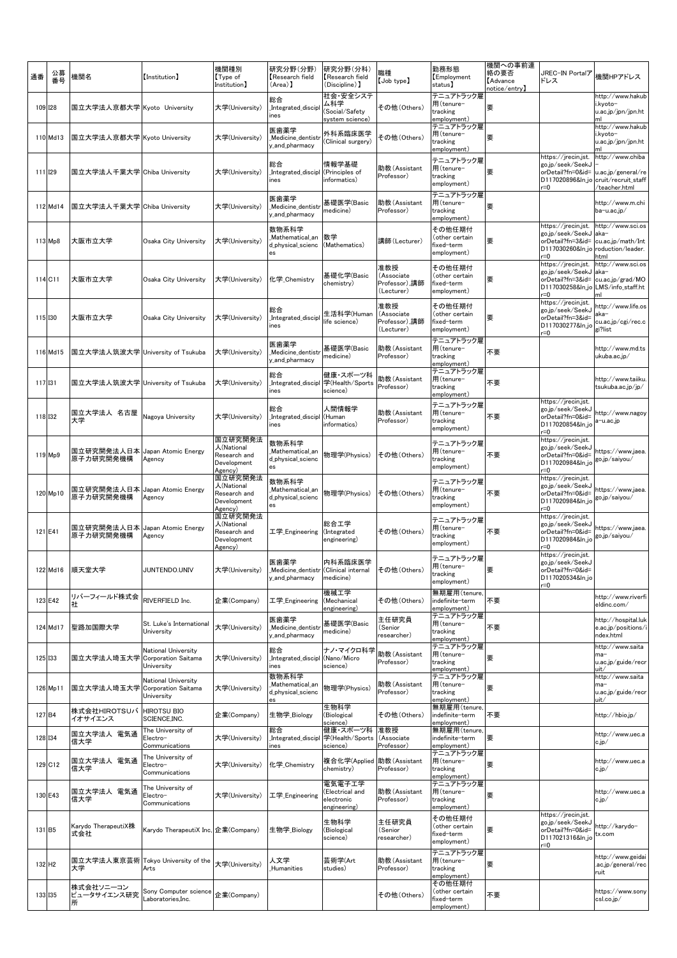| 通番                 | 公募<br>番号 | 機関名                                          | (Institution)                                   | 機関種別<br>【Type of<br>Institution]                                | 研究分野(分野)<br>Research field<br>(Area) 】                                         | 研究分野(分科)<br>Research field<br>(Discipline) 】            | 樴種<br>[Job type]                                 | 勤務形態<br>Employment<br>status)                         | 機関への事前連<br>絡の要否<br><b>Advance</b><br>$\mathsf{notice}/\mathsf{entry}$ ) | JREC-IN Portalア<br>ドレス                                                                                         | 機関HPアドレス                                                                      |
|--------------------|----------|----------------------------------------------|-------------------------------------------------|-----------------------------------------------------------------|--------------------------------------------------------------------------------|---------------------------------------------------------|--------------------------------------------------|-------------------------------------------------------|-------------------------------------------------------------------------|----------------------------------------------------------------------------------------------------------------|-------------------------------------------------------------------------------|
| 109 128            |          | 国立大学法人京都大学 Kyoto University                  |                                                 | 大学(University)                                                  | 総合<br>Integrated_discipl<br>ines                                               | 社会・安全システ<br>ム科学<br>(Social/Safety<br>system science)    | その他(Others)                                      | テニュアトラック雇<br>用(tenure-<br>tracking<br>employment)     | 要                                                                       |                                                                                                                | http://www.hakub<br>i.kyoto-<br>u.ac.jp/jpn/jpn.ht<br>ml                      |
|                    | 110 Md13 | 国立大学法人京都大学 Kyoto University                  |                                                 | 大学(University)                                                  | 医歯薬学<br>Medicine_dentistr<br>y_and_pharmacy                                    | 外科系臨床医学<br>(Clinical surgery)                           | その他(Others)                                      | テニュアトラック雇<br>用(tenure-<br>tracking<br>employment)     | 要                                                                       |                                                                                                                | http://www.hakub<br>i.kyoto-<br>u.ac.jp/jpn/jpn.ht                            |
| 111 129            |          | 国立大学法人千葉大学  Chiba University                 |                                                 | 大学(University)                                                  | 総合<br>Integrated_discipl<br>ines                                               | 情報学基礎<br>(Principles of<br>informatics)                 | 助教(Assistant<br>Professor)                       | テニュアトラック雇<br>用(tenure-<br>tracking<br>employment)     | 要                                                                       | https://jrecin.jst.<br>go.jp/seek/SeekJ<br>orDetail?fn=0&id=<br>D117020896&ln_jo<br>$r = 0$                    | http://www.chiba<br>u.ac.jp/general/re<br>cruit/recruit_staff<br>teacher.html |
|                    | 112 Md14 | 国立大学法人千葉大学 Chiba University                  |                                                 | 大学(University)                                                  | 医歯薬学<br>Medicine_dentist<br>y_and_pharmacy                                     | 基礎医学(Basic<br>medicine)                                 | 助教(Assistant<br>Professor)                       | テニュアトラック雇<br>用(tenure-<br>tracking<br>employment)     | 要                                                                       |                                                                                                                | http://www.m.chi<br>ba-u.ac.jp/                                               |
|                    | 113 Mp8  | 大阪市立大学                                       | Osaka City University                           | 大学(University)                                                  | 数物系科学<br>Mathematical_an<br>d_physical_scienc<br>es                            | 数学<br>(Mathematics)                                     | 講師(Lecturer)                                     | その他任期付<br>(other certain<br>fixed-term<br>employment) | 要                                                                       | https://jrecin.jst.<br>go.jp/seek/SeekJ aka-<br>orDetail?fn=3&id=<br>D117030260&In_jo roduction/leader.<br>r=0 | http://www.sci.os<br>cu.ac.jp/math/Int<br>html                                |
| 114 C11            |          | 大阪市立大学                                       | Osaka City University                           | 大学(University)                                                  | 化学_Chemistry                                                                   | 基礎化学(Basic<br>chemistry)                                | 准教授<br>(Associate<br>Professor),講師<br>(Lecturer) | その他任期付<br>(other certain<br>fixed-term<br>employment) | 要                                                                       | https://jrecin.jst.<br>go.jp/seek/SeekJ<br>orDetail?fn=3&id=<br>D117030258&ln_jo LMS/info_staff.ht<br>r=0      | http://www.sci.os<br>aka-<br>cu.ac.jp/grad/MO                                 |
| 115 130            |          | 大阪市立大学                                       | Osaka City University                           | 大学(University)                                                  | 総合<br>Integrated_discipl_<br>ines                                              | 生活科学(Human<br>life science)                             | 准教授<br>(Associate<br>Professor),講師<br>(Lecturer) | その他任期付<br>(other certain<br>fixed-term<br>employment) | 要                                                                       | https://jrecin.jst.<br>go.jp/seek/SeekJ<br>orDetail?fn=3&id=<br>D117030277&ln_jo<br>$= 0$                      | http://www.life.os<br>aka-<br>cu.ac.jp/cgi/rec.c<br>gi?list                   |
|                    | 116 Md15 | 国立大学法人筑波大学 University of Tsukuba             |                                                 | 大学(University)                                                  | 医歯薬学<br>Medicine dentistr<br>y_and_pharmacy                                    | 基礎医学(Basic<br>medicine)                                 | 助教(Assistant<br>Professor)                       | テニュアトラック雇<br>用(tenure-<br>tracking<br>employment)     | 不要                                                                      |                                                                                                                | http://www.md.ts<br>ukuba.ac.jp/                                              |
| 117 131            |          | 国立大学法人筑波大学 University of Tsukuba             |                                                 | 大学(University)                                                  | 総合<br>Integrated_discipl<br>ines                                               | 健康・スポーツ科<br>学(Health/Sports<br>science)                 | 助教(Assistant<br>Professor)                       | テニュアトラック雇<br>用(tenure-<br>tracking<br>employment)     | 不要                                                                      |                                                                                                                | http://www.taiiku.<br>tsukuba.ac.jp/jp/                                       |
| 118 132            |          | 国立大学法人 名古屋<br>大学                             | Nagoya University                               | 大学(University)                                                  | 総合<br>Integrated_discipl<br>ines                                               | 人間情報学<br>(Human<br>informatics)                         | 助教(Assistant<br>Professor)                       | テニュアトラック雇<br>用(tenure-<br>tracking<br>employment)     | 不要                                                                      | https://jrecin.jst.<br>go.jp/seek/SeekJ<br>orDetail?fn=0&id=<br>D117020854&ln_jo<br>$= 0$                      | http://www.nagoy<br>a−u.ac.jp                                                 |
|                    | 119 Mp9  | 国立研究開発法人日本  Japan Atomic Energy<br>原子力研究開発機構 | Agency                                          | 国立研究開発法<br>人(National<br>Research and<br>Development<br>Agency) | 数物系科学<br>_Mathematical_an<br>d_physical_scienc<br>es                           | 物理学(Physics)                                            | その他(Others)                                      | テニュアトラック雇<br>用(tenure-<br>tracking<br>employment)     | 不要                                                                      | https://jrecin.jst.<br>go.jp/seek/SeekJ<br>orDetail?fn=0&id=<br>D117020984&ln_jo<br>$r = 0$                    | https://www.jaea.<br>go.jp/saiyou/                                            |
|                    | 120 Mp10 | 国立研究開発法人日本  Japan Atomic Energy<br>原子力研究開発機構 | Agency                                          | 国立研究開発法<br>人(National<br>Research and<br>Development<br>Agency) | 数物系科学<br>Mathematical_an<br>d_physical_scienc<br>es                            | 物理学(Physics)                                            | その他(Others)                                      | テニュアトラック雇<br>用(tenure-<br>tracking<br>employment)     | 不要                                                                      | https://jrecin.jst.<br>go.jp/seek/SeekJ<br>orDetail?fn=0&id=<br>D117020984&ln_jo<br>r=0                        | https://www.jaea.<br>go.jp/saiyou/                                            |
|                    | 121 E41  | 国立研究開発法人日本 Japan Atomic Energy<br>原子力研究開発機構  | Agency                                          | 国立研究開発法<br>人(National<br>Research and<br>Development<br>Agency) | 工学_Engineering                                                                 | 総合工学<br>(Integrated<br>engineering)                     | その他(Others)                                      | テニュアトラック雇<br>用(tenure-<br>tracking<br>employment)     | 不要                                                                      | https://jrecin.jst.<br>go.jp/seek/SeekJ<br>orDetail?fn=0&id=<br>D117020984&ln_jo<br>r=0                        | https://www.jaea.<br>go.jp/saiyou/                                            |
|                    |          | 122 Md16 順天堂大学                               | <b>JUNTENDO.UNIV</b>                            |                                                                 | 医歯薬学<br>大学(University) _Medicine_dentistr (Clinical internal<br>y_and_pharmacy | 内科系臨床医学<br>medicine)                                    | その他 (Others)                                     | テニュアトラック雇<br>用(tenure-<br>tracking<br>employment)     | 要                                                                       | https://jrecin.jst.<br>go.jp/seek/SeekJ<br>orDetail?fn=0&id=<br>D117020534&ln_jo<br>$= 0$                      |                                                                               |
|                    | 123 E42  | リバーフィールド株式会<br>社                             | RIVERFIELD Inc.                                 | 企業(Company)                                                     | 工学_Engineering                                                                 | 機械工学<br>(Mechanical<br>engineering)                     | その他(Others)                                      | 無期雇用(tenure,<br>indefinite-term<br>employment)        | 不要                                                                      |                                                                                                                | http://www.riverfi<br>eldinc.com/                                             |
|                    | 124 Md17 | 聖路加国際大学                                      | St. Luke's International<br>University          | 大学(University)                                                  | 医歯薬学<br>Medicine_dentistr<br>v and pharmacv                                    | 基礎医学(Basic<br>medicine)                                 | 主任研究員<br>(Senior<br>researcher)                  | テニュアトラック雇<br>用(tenure-<br>tracking<br>employment)     | 不要                                                                      |                                                                                                                | http://hospital.luk<br>e.ac.jp/positions/<br>ndex.html                        |
| 125 133            |          | 国立大学法人埼玉大学 Corporation Saitama               | National University<br>University               | 大学(University)                                                  | 総合<br>Integrated_discipl<br>ines                                               | ナノ・マイクロ科学<br>(Nano/Micro<br>science)                    | 助教(Assistant<br>Professor)                       | テニュアトラック雇<br>用(tenure-<br>tracking<br>employment)     | 要                                                                       |                                                                                                                | http://www.saita<br>ma-<br>u.ac.jp/guide/recr<br>uit/                         |
|                    | 126 Mp11 | 国立大学法人埼玉大学 Corporation Saitama               | National University<br>University               | 大学(University)                                                  | 数物系科学<br>Mathematical_an<br>d_physical_scienc                                  | 物理学(Physics)                                            | 助教(Assistant<br>Professor)                       | テニュアトラック雇<br>用(tenure-<br>tracking<br>employment)     | 要                                                                       |                                                                                                                | http://www.saita<br>ma-<br>u.ac.jp/guide/recr<br>uit/                         |
| 127 <sub>B4</sub>  |          | 株式会社HIROTSUバ HIROTSU BIO<br>イオサイエンス          | SCIENCE, INC.                                   | 企業(Company)                                                     | 生物学_Biology                                                                    | 生物科学<br>(Biological<br>science)                         | その他(Others)                                      | 無期雇用(tenure,<br>indefinite–term<br>employment)        | 不要                                                                      |                                                                                                                | http://hbio.jp/                                                               |
| 128 134            |          | 国立大学法人 電気通<br>信大学                            | The University of<br>Electro-<br>Communications | 大学(University)                                                  | 総合<br>Integrated_discipl<br>nes                                                | 健康・スポーツ科<br>学(Health/Sports<br>science)                 | 准教授<br>(Associate<br>Professor)                  | 無期雇用(tenure<br>indefinite-term<br>employment)         | 要                                                                       |                                                                                                                | http://www.uec.a<br>c.jp/                                                     |
|                    | 129 C12  | 国立大学法人 電気通<br>信大学                            | The University of<br>Electro-<br>Communications | 大学(University)                                                  | 化学_Chemistry                                                                   | 複合化学(Applied 助教(Assistant<br>chemistry)                 | Professor)                                       | テニュアトラック雇<br>用(tenure-<br>tracking<br>employment)     | 要                                                                       |                                                                                                                | http://www.uec.a<br>c.jp/                                                     |
|                    | 130 E43  | 国立大学法人 電気通<br>信大学                            | The University of<br>Electro-<br>Communications | 大学(University)                                                  | 工学_Engineering                                                                 | 電気電子工学<br>(Electrical and<br>electronic<br>engineering) | 助教(Assistant<br>Professor)                       | テニュアトラック雇<br>用(tenure-<br>tracking<br>employment)     | 要                                                                       |                                                                                                                | http://www.uec.a<br>c.jp/                                                     |
| 131 B5             |          | Karydo TherapeutiX株<br>式会社                   | Karydo TherapeutiX Inc, 企業(Company)             |                                                                 | 生物学_Biology                                                                    | 生物科学<br>(Biological<br>science)                         | 主任研究員<br>(Senior<br>researcher)                  | その他任期付<br>(other certain<br>fixed-term<br>employment) | 要                                                                       | https://jrecin.jst.<br>go.jp/seek/SeekJ<br>orDetail?fn=0&id=<br>D117021316&ln_jo<br>$=0$                       | http://karydo-<br>tx.com                                                      |
| 132 H <sub>2</sub> |          | 大学                                           | 国立大学法人東京芸術 Tokyo University of the<br>Arts      | 大学(University)                                                  | 人文学<br>Humanities                                                              | 芸術学(Art<br>studies)                                     | 助教(Assistant<br>Professor)                       | テニュアトラック雇<br>用(tenure-<br>tracking<br>employment)     | 要                                                                       |                                                                                                                | http://www.geidai<br>.ac.jp/general/rec<br>ruit                               |
| 133 135            |          | 株式会社ソニーコン<br>ピュータサイエンス研究<br>所                | Sony Computer science<br>aboratories, Inc.      | 企業(Company)                                                     |                                                                                |                                                         | その他(Others)                                      | その他任期付<br>(other certain<br>fixed-term<br>employment) | 不要                                                                      |                                                                                                                | https://www.sony<br>csl.co.jp/                                                |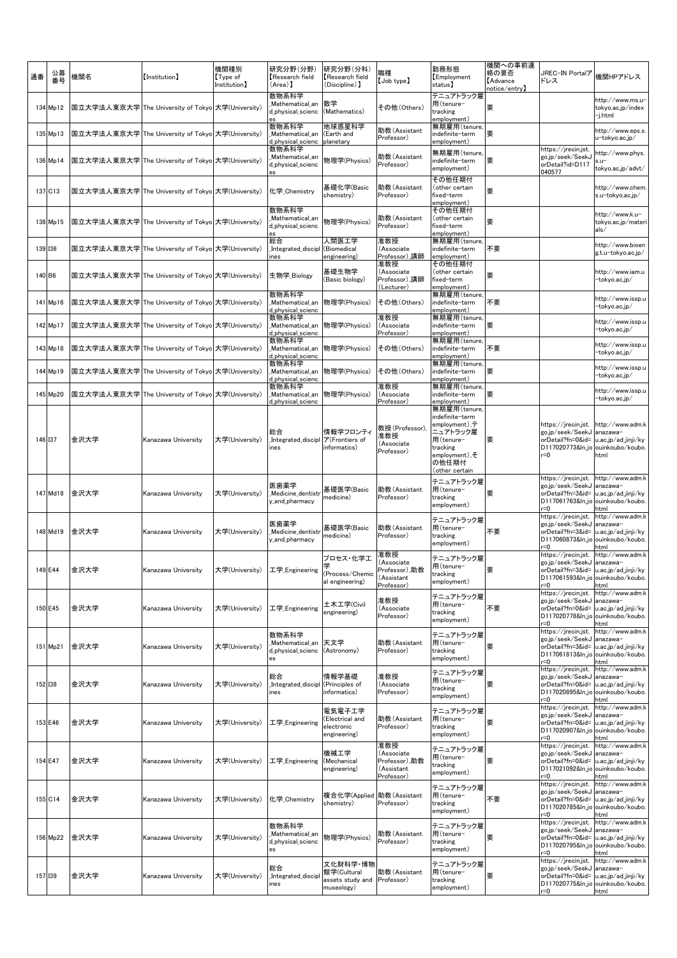| 通番     | 公募<br>番号 | 機関名  | (Institution)                                     | 機関種別<br>Type of<br>Institution] | 研究分野(分野)<br>Research field<br>(Area)                | 研究分野(分科)<br>Research field<br>(Discipline) 】              | 職種<br>[Job type]                                               | 勤務形態<br><b>Employment</b><br>status)                                                                                                          | 機関への事前連<br>絡の要否<br><b>Advance</b><br>notice/entry】 | JREC-IN Portalア<br>ドレス                                                                                                                  | 機関HPアドレス                                                                        |
|--------|----------|------|---------------------------------------------------|---------------------------------|-----------------------------------------------------|-----------------------------------------------------------|----------------------------------------------------------------|-----------------------------------------------------------------------------------------------------------------------------------------------|----------------------------------------------------|-----------------------------------------------------------------------------------------------------------------------------------------|---------------------------------------------------------------------------------|
|        | 134 Mp12 |      | 国立大学法人東京大学 The University of Tokyo 大学(University) |                                 | 数物系科学<br>Mathematical_an<br>d_physical_scienc       | 数学<br>(Mathematics)                                       | その他(Others)                                                    | テニュアトラック雇<br>用(tenure-<br>tracking<br>employment)                                                                                             | 要                                                  |                                                                                                                                         | http://www.ms.u-<br>tokyo.ac.jp/index<br>-j.html                                |
|        | 135 Mp13 |      | 国立大学法人東京大学 The University of Tokyo 大学(University) |                                 | 数物系科学<br>Mathematical_an<br>d_physical_scienc       | 地球惑星科学<br>(Earth and<br>planetary                         | 助教(Assistant<br>Professor)                                     | 無期雇用(tenure,<br>indefinite-term<br>employment)                                                                                                | 要                                                  |                                                                                                                                         | http://www.eps.s.<br>u-tokyo.ac.jp/                                             |
|        | 136 Mp14 |      | 国立大学法人東京大学 The University of Tokyo 大学(University) |                                 | 数物系科学<br>Mathematical_an<br>d_physical_scienc       | 物理学(Physics)                                              | 助教(Assistant<br>Professor)                                     | 無期雇用(tenure,<br>indefinite–term<br>employment)                                                                                                | 要                                                  | https://jrecin.jst.<br>go.jp/seek/SeekJ<br>orDetail?id=D117<br>040577                                                                   | nttp://www.phys<br>$su-$<br>tokyo.ac.jp/advt/                                   |
|        | 137 C13  |      | 国立大学法人東京大学 The University of Tokyo 大学(University) |                                 | 化学 Chemistry                                        | 基礎化学(Basic<br>chemistry)                                  | 助教(Assistant<br>Professor)                                     | その他任期付<br>(other certain<br>fixed-term<br>employment)                                                                                         | 要                                                  |                                                                                                                                         | http://www.chem<br>s.u-tokyo.ac.jp/                                             |
|        | 138 Mp15 |      | 国立大学法人東京大学 The University of Tokyo 大学(University) |                                 | 数物系科学<br>Mathematical_an<br>d physical scienc<br>es | 物理学(Physics)                                              | 助教(Assistant<br>Professor)                                     | その他任期付<br>(other certain<br>fixed-term<br>employment)                                                                                         | 要                                                  |                                                                                                                                         | http://www.k.u-<br>tokyo.ac.jp/mater<br>als/                                    |
|        | 139 136  |      | 国立大学法人東京大学 The University of Tokyo 大学(University) |                                 | 総合<br>Integrated_discipl<br>nes                     | 人間医工学<br>(Biomedical<br>engineering)                      | 准教授<br>(Associate<br>Professor),講師                             | 無期雇用(tenure,<br>indefinite-term<br>employment)                                                                                                | 不要                                                 |                                                                                                                                         | http://www.bioen<br>g.t.u-tokyo.ac.jp/                                          |
| 140 B6 |          |      | 国立大学法人東京大学 The University of Tokyo 大学(University) |                                 | 生物学_Biology                                         | 基礎生物学<br>(Basic biology)                                  | 准教授<br>(Associate<br>Professor),講師<br>(Lecturer)               | その他任期付<br>(other certain<br>fixed-term<br>employment)                                                                                         | 要                                                  |                                                                                                                                         | http://www.iam.u<br>-tokyo.ac.jp/                                               |
|        | 141 Mp16 |      | 国立大学法人東京大学 The University of Tokyo 大学(University) |                                 | 数物系科学<br>Mathematical an<br>d_physical_scienc       | 物理学(Physics)                                              | その他(Others)                                                    | 無期雇用(tenure,<br>indefinite-term<br>employment)                                                                                                | 不要                                                 |                                                                                                                                         | http://www.issp.u<br>-tokyo.ac.jp/                                              |
|        | 142 Mp17 |      | 国立大学法人東京大学 The University of Tokyo 大学(University) |                                 | 数物系科学<br>Mathematical_an<br>d_physical_scienc       | 物理学(Physics)                                              | 准教授<br>(Associate<br>Professor)                                | 無期雇用(tenure)<br>indefinite-term<br>employment)                                                                                                | 要                                                  |                                                                                                                                         | http://www.issp.u<br>-tokyo.ac.jp/                                              |
|        | 143 Mp18 |      | 国立大学法人東京大学 The University of Tokyo 大学(University) |                                 | 数物系科学<br>Mathematical an<br>d_physical_scienc       | 物理学(Physics)                                              | その他(Others)                                                    | 無期雇用(tenure<br>indefinite-term<br>employment)                                                                                                 | 不要                                                 |                                                                                                                                         | http://www.issp.u<br>-tokvo.ac.ip/                                              |
|        | 144 Mp19 |      | 国立大学法人東京大学 The University of Tokyo 大学(University) |                                 | 数物系科学<br>Mathematical_an<br>d_physical_scienc       | 物理学(Physics)                                              | その他(Others)                                                    | 無期雇用(tenure,<br>indefinite-term<br>employment)                                                                                                | 要                                                  |                                                                                                                                         | http://www.issp.u<br>-tokyo.ac.jp/                                              |
|        | 145 Mp20 |      | 国立大学法人東京大学 The University of Tokyo 大学(University) |                                 | 数物系科学<br>Mathematical_an<br>d_physical_scienc       | 物理学(Physics)                                              | 准教授<br>(Associate<br>Professor)                                | 無期雇用(tenure,<br>indefinite-term<br>employment)                                                                                                | 要                                                  |                                                                                                                                         | http://www.issp.u<br>-tokyo.ac.jp/                                              |
|        | 146 137  | 金沢大学 | Kanazawa University                               | 大学(University)                  | 総合<br>Integrated_discipl ア(Frontiers of<br>nes      | 情報学フロンティ<br>informatics)                                  | 教授(Professor)<br>准教授<br>(Associate<br>Professor)               | 無期雇用(tenure<br>indefinite-term<br>employment), $\bar{\tau}$<br>ニュアトラック雇<br>用(tenure-<br>tracking<br>employment), 준<br>の他任期付<br>(other certain | 要                                                  | https://jrecin.jst. http://www.adm.k<br>go.jp/seek/SeekJ anazawa-<br>orDetail?fn=0&id=<br>D117020773&ln_jo ouinkoubo/koubo.<br>$r = 0$  | u.ac.jp/ad_jinji/ky<br>html                                                     |
|        | 147 Md18 | 金沢大学 | Kanazawa University                               | 大学(University)                  | 医歯薬学<br>Medicine dentist<br>y_and_pharmacy          | 基礎医学(Basic<br>medicine)                                   | 助教(Assistant<br>Professor)                                     | テニュアトラック雇<br>用(tenure-<br>tracking<br>employment)                                                                                             | 要                                                  | https://jrecin.jst.<br>go.jp/seek/SeekJ anazawa-<br>orDetail?fn=3&id=<br>D117061763&ln_jo<br>r=0                                        | http://www.adm.k<br>u.ac.jp/ad_jinji/ky<br>ouinkoubo/koubo.<br>html             |
|        | 148 Md19 | 金沢大学 | Kanazawa University                               | 大学(University)                  | 医歯薬学<br>Medicine_dentisti<br>y_and_pharmacy         | 基礎医学(Basic<br>medicine)                                   | 助教(Assistant<br>Professor)                                     | テニュアトラック雇<br>用(tenure-<br>tracking<br>employment)                                                                                             | 不要                                                 | https://jrecin.jst.<br>go.jp/seek/SeekJ<br>orDetail?fn=3&id=<br>D117060873&ln_jo ouinkoubo/koubo.<br>r=0                                | http://www.adm.k<br>anazawa-<br>u.ac.jp/ad_jinji/ky<br>html                     |
|        | 149 E44  | 金沢大学 | Kanazawa University                               | 大学(University) 工学_Engineering   |                                                     | プロセス・化学工<br>(Process/Chemic<br>al engineering)            | 准教授<br>(Associate<br>Professor),助教<br>(Assistant<br>Professor) | テニュアトラック雇<br>用(tenure-<br>tracking<br>employment)                                                                                             | 要                                                  | https://jrecin.jst.<br>go.jp/seek/SeekJ anazawa-<br>orDetail?fn=3&id= u.ac.jp/ad_jinji/ky<br>D117061593&ln_jo ouinkoubo/koubo.<br>$= 0$ | http://www.adm.k<br>html                                                        |
|        | 150 E45  | 金沢大学 | Kanazawa University                               | 大学(University)                  | 工学_Engineering                                      | 土木工学(Civil<br>engineering)                                | 准教授<br>(Associate<br>Professor)                                | テニュアトラック雇<br>用(tenure-<br>tracking<br>employment)                                                                                             | 不要                                                 | https://jrecin.jst.<br>go.jp/seek/SeekJ<br>orDetail?fn=0&id=<br>D117020778&ln_jo ouinkoubo/koubo.<br>r=0                                | http://www.adm.k<br>anazawa-<br>u.ac.jp/ad_jinji/ky<br>html                     |
|        | 151 Mp21 | 金沢大学 | Kanazawa University                               | 大学(University)                  | 数物系科学<br>Mathematical an<br>d_physical_scienc<br>es | 天文学<br>(Astronomy)                                        | 助教(Assistant<br>Professor)                                     | テニュアトラック雇<br>用(tenure-<br>tracking<br>employment)                                                                                             | 要                                                  | https://jrecin.jst.<br>go.jp/seek/SeekJ<br>orDetail?fn=3&id=<br>D117061813&ln_jo<br>r=0                                                 | http://www.adm.k<br>anazawa-<br>u.ac.jp/ad_jinji/ky<br>ouinkoubo/koubo.<br>html |
|        | 152 138  | 金沢大学 | Kanazawa University                               | 大学(University)                  | 総合<br>Integrated_discipl<br>ines                    | 情報学基礎<br>(Principles of<br>informatics)                   | 准教授<br>(Associate<br>Professor)                                | テニュアトラック雇<br>用(tenure-<br>tracking<br>employment)                                                                                             | 要                                                  | https://jrecin.jst.<br>go.jp/seek/SeekJ<br>orDetail?fn=0&id=<br>D117020895&ln_jo<br>$r = 0$                                             | http://www.adm.k<br>anazawa-<br>u.ac.jp/ad_jinji/ky<br>ouinkoubo/koubo.<br>html |
|        | 153 E46  | 金沢大学 | Kanazawa University                               | 大学(University)                  | 工学_Engineering                                      | 電気電子工学<br>(Electrical and<br>electronic<br>engineering)   | 助教(Assistant<br>Professor)                                     | テニュアトラック雇<br>用(tenure-<br>tracking<br>employment)                                                                                             | 要                                                  | https://jrecin.jst.<br>go.jp/seek/SeekJ<br>orDetail?fn=0&id=<br>D117020907&ln_jo ouinkoubo/koubo.<br>r=0                                | http://www.adm.k<br>anazawa-<br>u.ac.jp/ad_jinji/ky<br>html                     |
|        | 154 E47  | 金沢大学 | Kanazawa University                               | 大学(University)                  | 工学_Engineering                                      | 機械工学<br>(Mechanical<br>engineering)                       | 准教授<br>(Associate<br>Professor),助教<br>(Assistant<br>Professor) | テニュアトラック雇<br>用(tenure-<br>tracking<br>employment)                                                                                             | 要                                                  | https://jrecin.jst.<br>go.jp/seek/SeekJ<br>orDetail?fn=0&id=<br>D117021092&ln_jo ouinkoubo/koubo.<br>r=0                                | http://www.adm.k<br>anazawa-<br>u.ac.jp/ad_jinji/ky<br>html                     |
|        | 155 C14  | 金沢大学 | Kanazawa University                               | 大学(University)                  | 化学_Chemistry                                        | 複合化学(Applied<br>chemistry)                                | 助教(Assistant<br>Professor)                                     | テニュアトラック雇<br>用(tenure-<br>tracking<br>employment)                                                                                             | 不要                                                 | https://jrecin.jst.<br>go.jp/seek/SeekJ<br>orDetail?fn=0&id=<br>D117020785&ln_jo ouinkoubo/koubo.<br>r=0                                | http://www.adm.k<br>anazawa-<br>u.ac.jp/ad_jinji/ky<br>html                     |
|        | 156 Mp22 | 金沢大学 | Kanazawa University                               | 大学(University)                  | 数物系科学<br>Mathematical_an<br>d_physical_scienc<br>es | 物理学(Physics)                                              | 助教(Assistant<br>Professor)                                     | テニュアトラック雇<br>用(tenure-<br>tracking<br>employment)                                                                                             | 要                                                  | https://jrecin.jst.<br>go.jp/seek/SeekJ<br>orDetail?fn=0&id=<br>D117020795&ln_jo<br>r=0                                                 | http://www.adm.k<br>anazawa-<br>u.ac.jp/ad_jinji/ky<br>ouinkoubo/koubo.<br>html |
|        | 157 139  | 金沢大学 | Kanazawa University                               | 大学(University)                  | 総合<br>Integrated_discip<br>ines                     | 文化財科学·博物<br>館学(Cultural<br>assets study and<br>museology) | 助教(Assistant<br>Professor)                                     | テニュアトラック雇<br>用(tenure-<br>tracking<br>employment)                                                                                             | 要                                                  | https://jrecin.jst.<br>go.jp/seek/SeekJ<br>orDetail?fn=0&id=<br>D117020775&ln_jo ouinkoubo/koubo.<br>r=0                                | http://www.adm.k<br>anazawa-<br>u.ac.jp/ad_jinji/ky<br>html                     |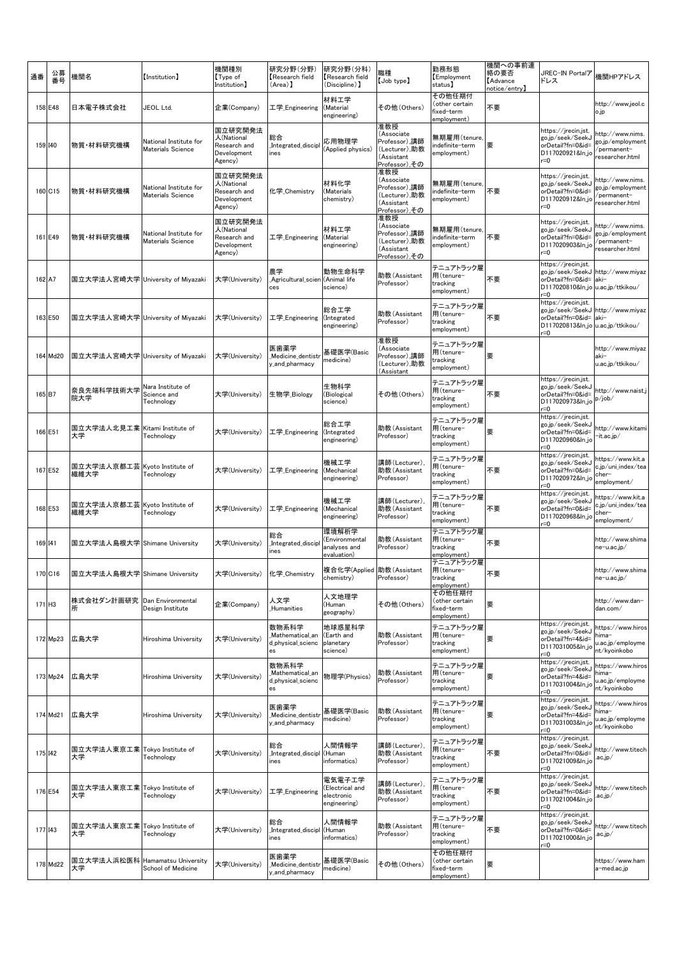| 通番      | 公募<br>番号 | 機関名                                    | (Institution)                                      | 機関種別<br>【Type of<br>Institution]                                | 研究分野(分野)<br>Research field<br>(Area) 】              | 研究分野(分科)<br>Research field<br>(Discipline) ]            | 識種<br>$[$ Job type $]$                                                             | 勤務形態<br>Employment<br>status)                         | 機関への事前連<br>絡の要否<br><b>Advance</b><br>notice/entry】 | JREC-IN Portalア<br>ドレス                                                                                                         | 機関HPアドレス                                                               |
|---------|----------|----------------------------------------|----------------------------------------------------|-----------------------------------------------------------------|-----------------------------------------------------|---------------------------------------------------------|------------------------------------------------------------------------------------|-------------------------------------------------------|----------------------------------------------------|--------------------------------------------------------------------------------------------------------------------------------|------------------------------------------------------------------------|
|         | 158 E48  | 日本電子株式会社                               | JEOL Ltd.                                          | 企業(Company)                                                     | 工学 Engineering                                      | 材料工学<br>(Material<br>engineering)                       | その他(Others)                                                                        | その他任期付<br>(other certain<br>fixed-term<br>employment) | 不要                                                 |                                                                                                                                | http://www.jeol.c<br>o.jp                                              |
| 159 140 |          | 物質・材料研究機構                              | National Institute for<br><b>Materials Science</b> | 国立研究開発法<br>人(National<br>Research and<br>Development<br>Agency) | 総合<br>Integrated_discipl<br>ines                    | 応用物理学<br>(Applied physics)                              | 准教授<br>(Associate<br>Professor),講師<br>(Lecturer),助教<br>(Assistant<br>Professor),その | 無期雇用(tenure,<br>indefinite-term<br>employment)        | 要                                                  | https://jrecin.jst.<br>go.jp/seek/SeekJ<br>orDetail?fn=0&id=<br>D117020921&ln_jo<br>r=0                                        | http://www.nims.<br>go.jp/employment<br>/permanent-<br>researcher.html |
|         | 160 C15  | 物質・材料研究機構                              | National Institute for<br>Materials Science        | 国立研究開発法<br>人(National<br>Research and<br>Development<br>Agency) | 化学 Chemistry                                        | 材料化学<br>(Materials<br>chemistry)                        | 准教授<br>(Associate<br>Professor),講師<br>(Lecturer),助教<br>(Assistant<br>Professor),その | 無期雇用(tenure<br>indefinite-term<br>employment)         | 不要                                                 | https://jrecin.jst.<br>go.jp/seek/SeekJ<br>orDetail?fn=0&id=<br>D117020912&ln_jo<br>r=0                                        | http://www.nims.<br>go.jp/employment<br>permanent-<br>researcher.html  |
|         | 161 E49  | 物質・材料研究機構                              | National Institute for<br><b>Materials Science</b> | 国立研究開発法<br>人(National<br>Research and<br>Development<br>Agency) | 工学 Engineering                                      | 材料工学<br>(Material<br>engineering)                       | 准教授<br>(Associate<br>Professor),講師<br>(Lecturer),助教<br>(Assistant<br>Professor),その | 無期雇用(tenure,<br>ndefinite-term<br>employment)         | 不要                                                 | https://jrecin.jst.<br>go.jp/seek/SeekJ<br>orDetail?fn=0&id=<br>D117020903&ln_jc<br>$r = 0$                                    | http://www.nims.<br>go.jp/employment<br>/permanent-<br>researcher.html |
| 162 A7  |          | 国立大学法人宮崎大学 University of Miyazaki      |                                                    | 大学(University)                                                  | 農学<br>Agricultural_scier<br>ces                     | 動物生命科学<br>(Animal life<br>science)                      | 助教(Assistant<br>Professor)                                                         | テニュアトラック雇<br>用(tenure-<br>tracking<br>employment)     | 不要                                                 | https://jrecin.jst.<br>go.jp/seek/SeekJ<br>orDetail?fn=0&id=<br>D117020810&ln_jo u.ac.jp/ttkikou/<br>r=0                       | http://www.miyaz<br>aki-                                               |
|         | 163 E50  | 国立大学法人宮崎大学 University of Miyazaki      |                                                    | 大学(University)                                                  | 工学_Engineering                                      | 総合工学<br>(Integrated<br>engineering)                     | 助教(Assistant<br>Professor)                                                         | テニュアトラック雇<br>用(tenure-<br>tracking<br>employment)     | 不要                                                 | https://jrecin.jst.<br>go.jp/seek/SeekJ http://www.miyaz<br>orDetail?fn=0&id= aki-<br>D117020813&ln_jo u.ac.jp/ttkikou/<br>r=0 |                                                                        |
|         | 164 Md20 | 国立大学法人宮崎大学 University of Miyazaki      |                                                    | 大学(University)                                                  | 医歯薬学<br>Medicine_dentistr<br>y and pharmacy         | 基礎医学(Basic<br>medicine)                                 | 准教授<br>Associate)<br>Professor),講師<br>(Lecturer),助教<br>(Assistant                  | テニュアトラック雇<br>用(tenure-<br>tracking<br>employment)     | 要                                                  |                                                                                                                                | http://www.miyaz<br>aki-<br>u.ac.jp/ttkikou/                           |
| 165 B7  |          | 奈良先端科学技術大学<br>院大学                      | Nara Institute of<br>Science and<br>Technology     | 大学(University)                                                  | 生物学_Biology                                         | 生物科学<br>(Biological<br>science)                         | その他(Others)                                                                        | テニュアトラック雇<br>用(tenure-<br>tracking<br>employment)     | 不要                                                 | https://jrecin.jst.<br>go.jp/seek/SeekJ<br>orDetail?fn=0&id=<br>D117020973&ln_jo<br>r=0                                        | http://www.naist.<br>p/job/                                            |
|         | 166 E51  | 国立大学法人北見工業  Kitami Institute of<br>大学  | Technology                                         | 大学(University)                                                  | 工学 Engineering                                      | 総合工学<br>(Integrated<br>engineering)                     | 助教(Assistant<br>Professor)                                                         | テニュアトラック雇<br>用(tenure-<br>tracking<br>employment)     | 要                                                  | https://jrecin.jst.<br>go.jp/seek/SeekJ<br>orDetail?fn=0&id=<br>D117020960&ln_jo<br>$r = 0$                                    | http://www.kitam<br>-it.ac.jp∕                                         |
|         | 167 E52  | 国立大学法人京都工芸 Kyoto Institute of<br>繊維大学  | Technology                                         | 大学(University)                                                  | 工学_Engineering                                      | 機械工学<br>(Mechanical<br>engineering)                     | 講師(Lecturer),<br>助教(Assistant<br>Professor)                                        | テニュアトラック雇<br>用(tenure-<br>tracking<br>employment)     | 不要                                                 | https://jrecin.jst.<br>go.jp/seek/SeekJ<br>orDetail?fn=0&id=<br>D117020972&ln_jc<br>$r = 0$                                    | https://www.kit.a<br>c.jp/uni_index/tea<br>cher–<br>employment/        |
|         | 168 E53  | 国立大学法人京都工芸 Kyoto Institute of<br>繊維大学  | Technology                                         | 大学(University)                                                  | 工学_Engineering                                      | 機械工学<br>(Mechanical<br>engineering)                     | 講師(Lecturer)<br>助教(Assistant<br>Professor)                                         | テニュアトラック雇<br>用(tenure-<br>tracking<br>employment)     | 不要                                                 | https://jrecin.jst.<br>go.jp/seek/SeekJ<br>orDetail?fn=0&id=<br>D117020968&ln_jc<br>r=0                                        | https://www.kit.a<br>c.jp/uni_index/tea<br>cher-<br>employment/        |
| 169 141 |          | 国立大学法人島根大学 Shimane University          |                                                    | 大学(University)                                                  | 総合<br>Integrated_discip<br>ines                     | 環境解析学<br>(Environmental<br>analyses and<br>evaluation)  | 助教(Assistant<br>Professor)                                                         | テニュアトラック雇<br>用(tenure-<br>tracking<br>employment)     | 不要                                                 |                                                                                                                                | http://www.shima<br>ne-u.ac.jp/                                        |
|         | 170 C16  | 国立大学法人島根大学 Shimane University          |                                                    | 大学(University)                                                  | 化学 Chemistry                                        | 複合化学(Applied 助教(Assistant<br>chemistry)                 | Professor)                                                                         | テニュアトラック雇<br>用(tenure-<br>tracking<br>employment)     | 不要                                                 |                                                                                                                                | http://www.shima<br>ne-u.ac.jp/                                        |
| 171 H3  |          | 株式会社ダン計画研究 Dan Environmental<br>所      | Design Institute                                   | 企業(Company)                                                     | 人文学<br>Humanities                                   | 人文地理学<br>(Human<br>geography)                           | その他(Others)                                                                        | その他任期付<br>(other certain<br>fixed-term<br>employment) | 要                                                  |                                                                                                                                | http://www.dan-<br>dan.com/                                            |
|         | 172 Mp23 | 広島大学                                   | Hiroshima University                               | 大学(University)                                                  | 数物系科学<br>Mathematical_an<br>d_physical_scienc<br>es | 地球惑星科学<br>(Earth and<br>planetary<br>science)           | 助教(Assistant<br>Professor)                                                         | テニュアトラック雇<br>用(tenure-<br>tracking<br>employment)     | 要                                                  | https://jrecin.jst.<br>go.jp/seek/SeekJ<br>orDetail?fn=4&id=<br>D117031005&ln_jo<br>r=0                                        | https://www.hiros<br>hima-<br>u.ac.jp/employme<br>nt/kyoinkobo         |
|         | 173 Mp24 | 広島大学                                   | Hiroshima University                               | 大学(University)                                                  | 数物系科学<br>Mathematical_an<br>d_physical_scienc<br>es | 物理学(Physics)                                            | 助教(Assistant<br>Professor)                                                         | テニュアトラック雇<br>用(tenure-<br>tracking<br>employment)     | 要                                                  | https://jrecin.jst.<br>go.jp/seek/SeekJ<br>orDetail?fn=4&id=<br>D117031004&ln_jo<br>$r = 0$                                    | https://www.hiros<br>hima-<br>u.ac.jp/employme<br>nt/kyoinkobo         |
|         | 174 Md21 | 広島大学                                   | Hiroshima University                               | 大学(University)                                                  | 医歯薬学<br>Medicine_dentist<br>y_and_pharmacy          | 基礎医学(Basic<br>medicine)                                 | 助教(Assistant<br>Professor)                                                         | テニュアトラック雇<br>用(tenure-<br>tracking<br>employment)     | 要                                                  | https://jrecin.jst.<br>go.jp/seek/SeekJ<br>orDetail?fn=4&id=<br>D117031003&ln_jc<br>$r = 0$                                    | https://www.hiros<br>hima-<br>u.ac.jp/employme<br>nt/kyoinkobo         |
| 175 142 |          | 国立大学法人東京工業 Tokyo Institute of<br>大学    | Technology                                         | 大学(University)                                                  | 総合<br>Integrated_discipl (Human<br>ines             | 人間情報学<br>informatics)                                   | 講師(Lecturer)<br>助教(Assistant<br>Professor)                                         | テニュアトラック雇<br>用(tenure-<br>tracking<br>employment)     | 不要                                                 | https://jrecin.jst.<br>go.jp/seek/SeekJ<br>orDetail?fn=0&id=<br>D117021009&ln_jo<br>r=0                                        | http://www.titech<br>.ac.jp∕                                           |
|         | 176 E54  | 国立大学法人東京工業  Tokyo Institute of<br>大学   | Technology                                         | 大学(University)                                                  | 工学_Engineering                                      | 電気電子工学<br>(Electrical and<br>electronic<br>engineering) | 溝師(Lecturer)<br>助教(Assistant<br>Professor)                                         | テニュアトラック雇<br>用(tenure-<br>tracking<br>employment)     | 不要                                                 | https://jrecin.jst.<br>go.jp/seek/SeekJ<br>orDetail?fn=0&id=<br>D117021004&ln_jo<br>r=0                                        | http://www.titech<br>.ac.jp∕                                           |
| 177 143 |          | 国立大学法人東京工業  Tokyo Institute of<br>大学   | Technology                                         | 大学(University)                                                  | 総合<br>Integrated_discipl<br>ines                    | 人間情報学<br>(Human<br>informatics)                         | 助教(Assistant<br>Professor)                                                         | テニュアトラック雇<br>用(tenure-<br>tracking<br>employment)     | 不要                                                 | https://jrecin.jst.<br>go.jp/seek/SeekJ<br>orDetail?fn=0&id=<br>D117021000&ln_jc<br>r=0                                        | http://www.titech<br>.ac.jp∕                                           |
|         | 178 Md22 | 国立大学法人浜松医科  Hamamatsu University<br>大学 | School of Medicine                                 | 大学(University)                                                  | 医歯薬学<br>Medicine_dentistr<br>y_and_pharmacy         | 基礎医学(Basic<br>medicine)                                 | その他(Others)                                                                        | その他任期付<br>(other certain<br>fixed-term<br>employment) | 要                                                  |                                                                                                                                | https://www.ham<br>a-med.ac.jp                                         |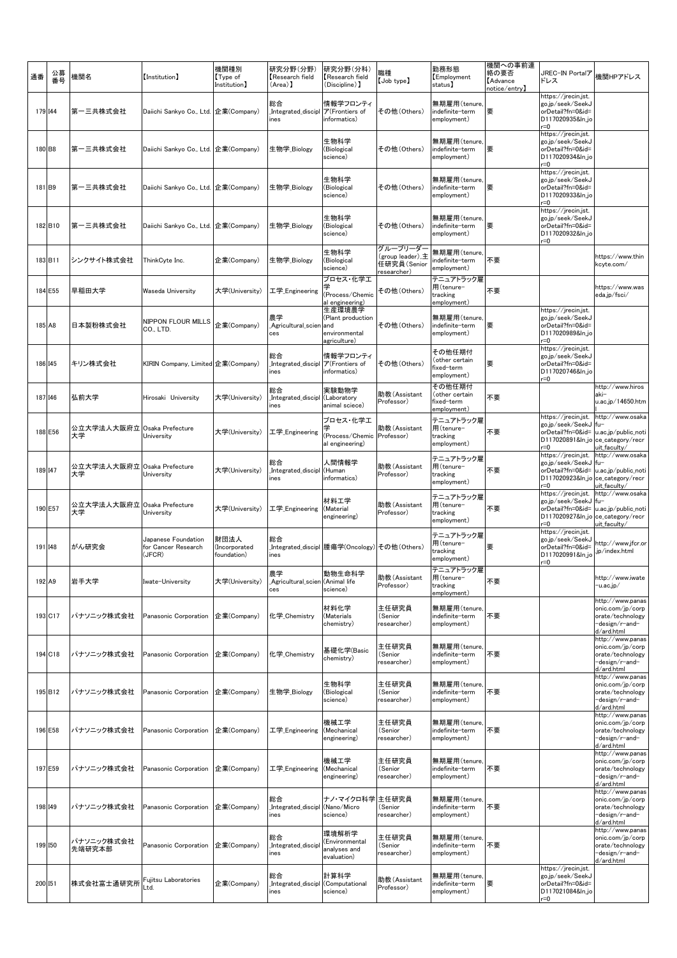| 通番 | 公募<br>番号          | 機関名                               | [Institution]                                        | 機関種別<br>Type of<br>Institution]      | 研究分野(分野)<br>Research field<br>(Area) 】       | 研究分野(分科)<br>Research field<br>(Discipline) 】                         | 職種<br>$[$ Job type $]$                                    | 勤務形態<br>Employment<br>status】                         | 機関への事前連<br>絡の要否<br><b>Advance</b><br>notice/entry】 | JREC-IN Portalア<br>ドレス                                                                      | 機関HPアドレス                                                                                 |
|----|-------------------|-----------------------------------|------------------------------------------------------|--------------------------------------|----------------------------------------------|----------------------------------------------------------------------|-----------------------------------------------------------|-------------------------------------------------------|----------------------------------------------------|---------------------------------------------------------------------------------------------|------------------------------------------------------------------------------------------|
|    | 179 144           | 第一三共株式会社                          | Daiichi Sankyo Co., Ltd. 企業(Company)                 |                                      | 総合<br>Integrated_discipl<br>ines             | 情報学フロンティ<br>ア(Frontiers of<br>informatics)                           | その他(Others)                                               | 無期雇用(tenure,<br>indefinite-term<br>employment)        | 要                                                  | https://jrecin.jst.<br>go.jp/seek/SeekJ<br>orDetail?fn=0&id=<br>D117020935&ln_jo<br>r=0     |                                                                                          |
|    | 180 B8            | 第一三共株式会社                          | Daiichi Sankyo Co., Ltd.   企業(Company)               |                                      | 生物学_Biology                                  | 生物科学<br>(Biological<br>science)                                      | その他(Others)                                               | 無期雇用(tenure,<br>indefinite-term<br>employment)        | 要                                                  | https://jrecin.jst.<br>go.jp/seek/SeekJ<br>orDetail?fn=0&id=<br>D117020934&ln_jo<br>r=0     |                                                                                          |
|    | 181 <sub>B9</sub> | 第一三共株式会社                          | Daiichi Sankyo Co., Ltd. 企業(Company)                 |                                      | 生物学_Biology                                  | 生物科学<br>(Biological<br>science)                                      | その他(Others)                                               | 無期雇用(tenure,<br>indefinite-term<br>employment)        | 要                                                  | https://jrecin.jst.<br>go.jp/seek/SeekJ<br>orDetail?fn=0&id=<br>D117020933&ln_jo<br>$=0$    |                                                                                          |
|    | 182 B10           | 第一三共株式会社                          | Daiichi Sankyo Co., Ltd. 企業(Company)                 |                                      | 生物学 Biology                                  | 生物科学<br>(Biological<br>science)                                      | その他(Others)                                               | 無期雇用(tenure,<br>indefinite-term<br>employment)        | 要                                                  | https://jrecin.jst.<br>go.jp/seek/SeekJ<br>orDetail?fn=0&id=<br>D117020932&ln_jo<br>$r = 0$ |                                                                                          |
|    | 183 B11           | シンクサイト株式会社                        | ThinkCyte Inc.                                       | 企業(Company)                          | 生物学_Biology                                  | 生物科学<br>(Biological<br>science)                                      | グループリーダー<br>(group leader),主<br>任研究員(Senior<br>esearcher) | 無期雇用(tenure,<br>ndefinite-term<br>employment)         | 不要                                                 |                                                                                             | https://www.thin<br>kcyte.com/                                                           |
|    | 184 E55           | 早稲田大学                             | Waseda University                                    | 大学(University)                       | 工学_Engineering                               | プロセス・化学工<br>(Process/Chemic<br>al engineering)                       | その他 (Others)                                              | テニュアトラック雇<br>用(tenure-<br>tracking<br>employment)     | 不要                                                 |                                                                                             | https://www.was<br>eda.ip/fsci/                                                          |
|    | 185 A8            | 日本製粉株式会社                          | NIPPON FLOUR MILLS<br>CO., LTD.                      | 企業(Company)                          | 農学<br>Agricultural_scien<br>ces              | 生産環境農学<br>(Plant production<br>land<br>environmental<br>agriculture) | その他 (Others)                                              | 無期雇用(tenure,<br>indefinite-term<br>employment)        | 要                                                  | https://jrecin.jst.<br>go.jp/seek/SeekJ<br>orDetail?fn=0&id=<br>D117020989&ln_jo<br>$= 0$   |                                                                                          |
|    | 186 145           | キリン株式会社                           | KIRIN Company, Limited 企業(Company)                   |                                      | 総合<br>Integrated_discipl<br>ines             | 情報学フロンティ<br>ア(Frontiers of<br>informatics)                           | その他(Others)                                               | その他任期付<br>(other certain<br>fixed-term<br>employment) | 要                                                  | https://jrecin.jst.<br>go.jp/seek/SeekJ<br>orDetail?fn=0&id=<br>D117020746&ln_jo<br>r=0     |                                                                                          |
|    | 187 146           | 弘前大学                              | Hirosaki University                                  | 大学(University)                       | 総合<br>Integrated_discipl<br>ines             | 実験動物学<br>(Laboratory<br>animal sciece)                               | 助教(Assistant<br>Professor)                                | その他任期付<br>(other certain<br>fixed-term<br>employment) | 不要                                                 |                                                                                             | http://www.hiros<br>aki-<br>u.ac.jp/14650.htm                                            |
|    | 188 E56           | 公立大学法人大阪府立 Osaka Prefecture<br>大学 | University                                           | 大学(University)                       | 工学_Engineering                               | プロセス・化学工<br>(Process/Chemic<br>al engineering)                       | 助教(Assistant<br>Professor)                                | テニュアトラック雇<br>用(tenure-<br>tracking<br>employment)     | 不要                                                 | https://jrecin.jst.<br>go.jp/seek/SeekJ<br>orDetail?fn=0&id=<br>D117020891&ln_jo<br>r=0     | http://www.osaka<br>$fu-$<br>u.ac.jp/public_noti<br>ce_category/recr<br>uit_faculty/     |
|    | 189 147           | 公立大学法人大阪府立 Osaka Prefecture<br>大学 | University                                           | 大学(University)                       | 総合<br>Integrated_discipl<br>ines             | 人間情報学<br>(Human<br>informatics)                                      | 助教(Assistant<br>Professor)                                | テニュアトラック雇<br>用(tenure-<br>tracking<br>employment)     | 不要                                                 | https://jrecin.jst.<br>go.jp/seek/SeekJ<br>orDetail?fn=0&id=<br>D117020923&ln_jo<br>r=0     | http://www.osaka<br>fu-<br>u.ac.jp/public_noti<br>ce_category/recr<br>uit_faculty/       |
|    | 190 E57           | 公立大学法人大阪府立 Osaka Prefecture<br>大学 | Universitv                                           | 大学(University)                       | 工学_Engineering                               | 材料工学<br>(Material<br>engineering)                                    | 助教(Assistant<br>Professor)                                | テニュアトラック雇<br>用(tenure-<br>tracking<br>employment)     | 不要                                                 | https://jrecin.jst.<br>go.jp/seek/SeekJ<br>orDetail?fn=0&id=<br>D117020927&ln_jo<br>$= 0$   | http://www.osaka<br>$fu-$<br>u.ac.jp/public_noti<br>ce_category/recr<br>uit_faculty/     |
|    | 191 148           | がん研究会                             | Japanese Foundation<br>for Cancer Research<br>(JFCR) | 財団法人<br>(Incorporated<br>foundation) | 総合<br>ines                                   | Integrated_discipl 腫瘍学(Oncology)                                     | その他(Others)                                               | テニュアトラック雇<br>用(tenure-<br>tracking<br>employment)     | 要                                                  | https://jrecin.jst.<br>go.jp/seek/SeekJ<br>orDetail?fn=0&id=<br>D117020991&ln_jc<br>$= 0$   | http://www.jfcr.or<br>.jp/index.html                                                     |
|    | 192 A9            | 岩手大学                              | Iwate-University                                     | 大学(University)                       | 農学<br>Agricultural_scien (Animal life<br>ces | 動物生命科学<br>science)                                                   | 助教(Assistant<br>Professor)                                | テニュアトラック雇<br>用(tenure-<br>tracking<br>employment)     | 不要                                                 |                                                                                             | http://www.iwate<br>−u.ac.jp∕                                                            |
|    | 193 C17           | パナソニック株式会社                        | Panasonic Corporation                                | 企業(Company)                          | 化学_Chemistry                                 | 材料化学<br>(Materials<br>chemistry)                                     | 主任研究員<br>(Senior<br>researcher)                           | 無期雇用(tenure<br>indefinite-term<br>employment)         | 不要                                                 |                                                                                             | http://www.panas<br>onic.com/jp/corp<br>orate/technology<br>-design/r-and-<br>d/ard.html |
|    | 194 C18           | パナソニック株式会社                        | Panasonic Corporation                                | 企業(Company)                          | 化学 Chemistry                                 | 基礎化学(Basic<br>chemistry)                                             | 主任研究員<br>(Senior<br>researcher)                           | 無期雇用(tenure,<br>indefinite-term<br>employment)        | 不要                                                 |                                                                                             | http://www.panas<br>onic.com/jp/corp<br>orate/technology<br>-design/r-and-<br>d/ard.html |
|    | 195 B12           | パナソニック株式会社                        | Panasonic Corporation                                | 企業(Company)                          | 生物学_Biology                                  | 生物科学<br>(Biological<br>science)                                      | 主任研究員<br>(Senior<br>researcher)                           | 無期雇用(tenure<br>indefinite-term<br>employment)         | 不要                                                 |                                                                                             | http://www.panas<br>onic.com/jp/corp<br>orate/technology<br>-design/r-and-<br>d/ard.html |
|    | 196 E58           | パナソニック株式会社                        | Panasonic Corporation                                | 企業(Company)                          | 工学_Engineering                               | 機械工学<br>(Mechanical<br>engineering)                                  | 主任研究員<br>(Senior<br>researcher)                           | 無期雇用(tenure<br>indefinite-term<br>employment)         | 不要                                                 |                                                                                             | http://www.panas<br>onic.com/jp/corp<br>orate/technology<br>-design/r-and-<br>d/ard.html |
|    | 197 E59           | パナソニック株式会社                        | Panasonic Corporation                                | 企業(Company)                          | 工学_Engineering                               | 機械工学<br>(Mechanical<br>engineering)                                  | 主任研究員<br>(Senior<br>researcher)                           | 無期雇用(tenure,<br>indefinite–term<br>employment)        | 不要                                                 |                                                                                             | http://www.panas<br>onic.com/jp/corp<br>orate/technology<br>-design/r-and-<br>d/ard.html |
|    | 198 149           | パナソニック株式会社                        | Panasonic Corporation                                | 企業(Company)                          | 総合<br>Integrated_discipl<br>ines             | ナノ・マイクロ科学<br>(Nano/Micro<br>science)                                 | 主任研究員<br>(Senior<br>researcher)                           | 無期雇用(tenure,<br>indefinite-term<br>employment)        | 不要                                                 |                                                                                             | http://www.panas<br>onic.com/jp/corp<br>orate/technology<br>-design/r-and-<br>d/ard.html |
|    | 199 150           | パナソニック株式会社<br>先端研究本部              | Panasonic Corporation                                | 企業(Company)                          | 総合<br>Integrated_discip<br>ines              | 環境解析学<br>(Environmental<br>analyses and<br>evaluation)               | 主任研究員<br>(Senior<br>researcher)                           | 無期雇用(tenure,<br>indefinite-term<br>employment)        | 不要                                                 |                                                                                             | http://www.panas<br>onic.com/jp/corp<br>orate/technology<br>-design/r-and-<br>d/ard.html |
|    | 200 151           | 株式会社富士通研究所                        | Fujitsu Laboratories<br>_td.                         | 企業(Company)                          | 総合<br>Integrated_discipl<br>nes              | 計算科学<br>(Computational<br>science)                                   | 助教(Assistant<br>Professor)                                | 無期雇用(tenure,<br>indefinite-term<br>employment)        | 要                                                  | https://jrecin.jst.<br>go.jp/seek/SeekJ<br>orDetail?fn=0&id=<br>D117021084&ln_jo<br>r=0     |                                                                                          |